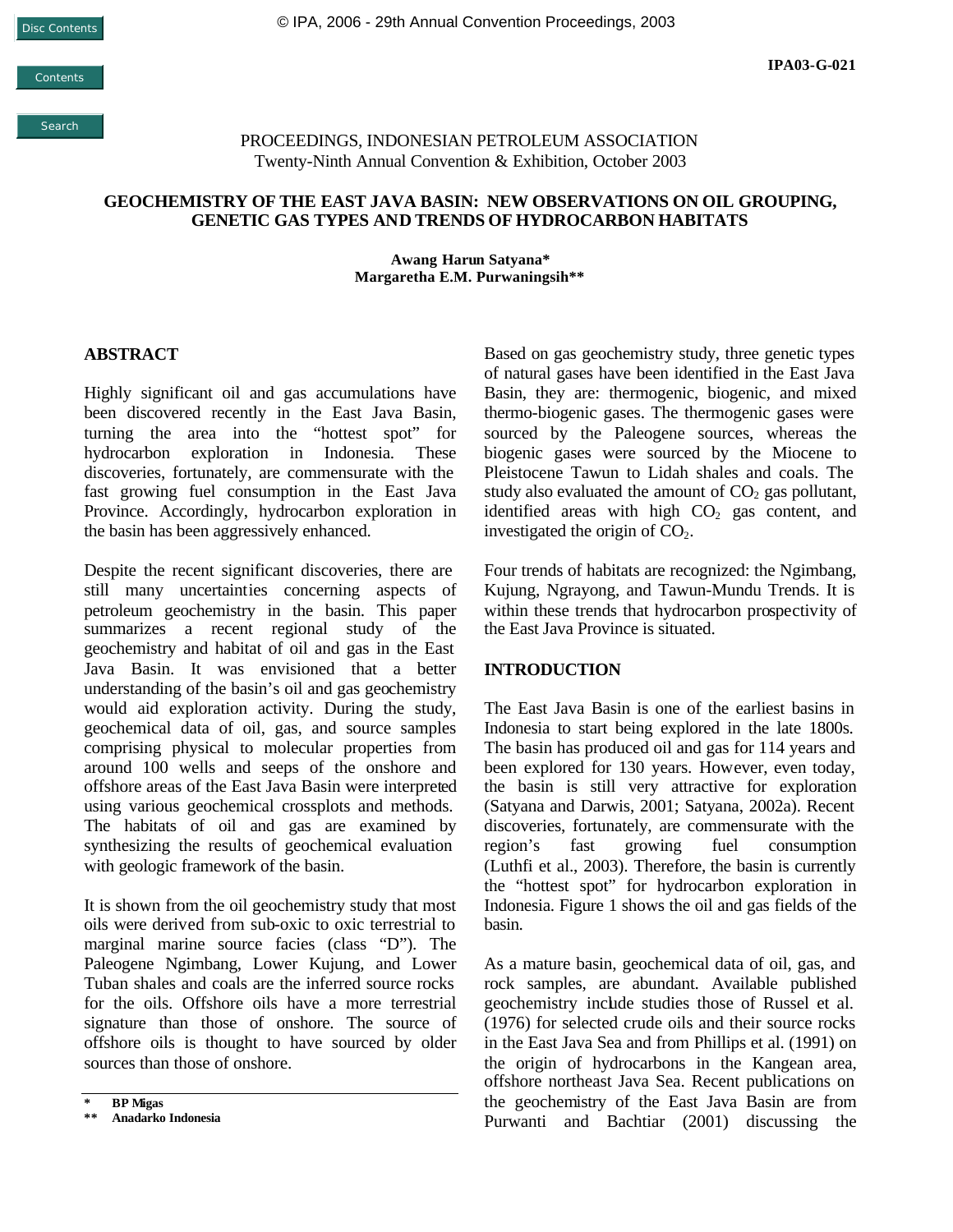**Contents** 

Search

PROCEEDINGS, INDONESIAN PETROLEUM ASSOCIATION Twenty-Ninth Annual Convention & Exhibition, October 2003

#### **GEOCHEMISTRY OF THE EAST JAVA BASIN: NEW OBSERVATIONS ON OIL GROUPING, GENETIC GAS TYPES AND TRENDS OF HYDROCARBON HABITATS**

**Awang Harun Satyana\* Margaretha E.M. Purwaningsih\*\***

#### **ABSTRACT**

Highly significant oil and gas accumulations have been discovered recently in the East Java Basin, turning the area into the "hottest spot" for hydrocarbon exploration in Indonesia. These discoveries, fortunately, are commensurate with the fast growing fuel consumption in the East Java Province. Accordingly, hydrocarbon exploration in the basin has been aggressively enhanced.

Despite the recent significant discoveries, there are still many uncertainties concerning aspects of petroleum geochemistry in the basin. This paper summarizes a recent regional study of the geochemistry and habitat of oil and gas in the East Java Basin. It was envisioned that a better understanding of the basin's oil and gas geochemistry would aid exploration activity. During the study, geochemical data of oil, gas, and source samples comprising physical to molecular properties from around 100 wells and seeps of the onshore and offshore areas of the East Java Basin were interpreted using various geochemical crossplots and methods. The habitats of oil and gas are examined by synthesizing the results of geochemical evaluation with geologic framework of the basin.

It is shown from the oil geochemistry study that most oils were derived from sub-oxic to oxic terrestrial to marginal marine source facies (class "D"). The Paleogene Ngimbang, Lower Kujung, and Lower Tuban shales and coals are the inferred source rocks for the oils. Offshore oils have a more terrestrial signature than those of onshore. The source of offshore oils is thought to have sourced by older sources than those of onshore.

Based on gas geochemistry study, three genetic types of natural gases have been identified in the East Java Basin, they are: thermogenic, biogenic, and mixed thermo-biogenic gases. The thermogenic gases were sourced by the Paleogene sources, whereas the biogenic gases were sourced by the Miocene to Pleistocene Tawun to Lidah shales and coals. The study also evaluated the amount of  $CO<sub>2</sub>$  gas pollutant, identified areas with high  $CO<sub>2</sub>$  gas content, and investigated the origin of  $CO<sub>2</sub>$ .

Four trends of habitats are recognized: the Ngimbang, Kujung, Ngrayong, and Tawun-Mundu Trends. It is within these trends that hydrocarbon prospectivity of the East Java Province is situated.

#### **INTRODUCTION**

The East Java Basin is one of the earliest basins in Indonesia to start being explored in the late 1800s. The basin has produced oil and gas for 114 years and been explored for 130 years. However, even today, the basin is still very attractive for exploration (Satyana and Darwis, 2001; Satyana, 2002a). Recent discoveries, fortunately, are commensurate with the region's fast growing fuel consumption (Luthfi et al., 2003). Therefore, the basin is currently the "hottest spot" for hydrocarbon exploration in Indonesia. Figure 1 shows the oil and gas fields of the basin.

As a mature basin, geochemical data of oil, gas, and rock samples, are abundant. Available published geochemistry include studies those of Russel et al. (1976) for selected crude oils and their source rocks in the East Java Sea and from Phillips et al. (1991) on the origin of hydrocarbons in the Kangean area, offshore northeast Java Sea. Recent publications on the geochemistry of the East Java Basin are from Purwanti and Bachtiar (2001) discussing the

**<sup>\*</sup> BP Migas**

**<sup>\*\*</sup> Anadarko Indonesia**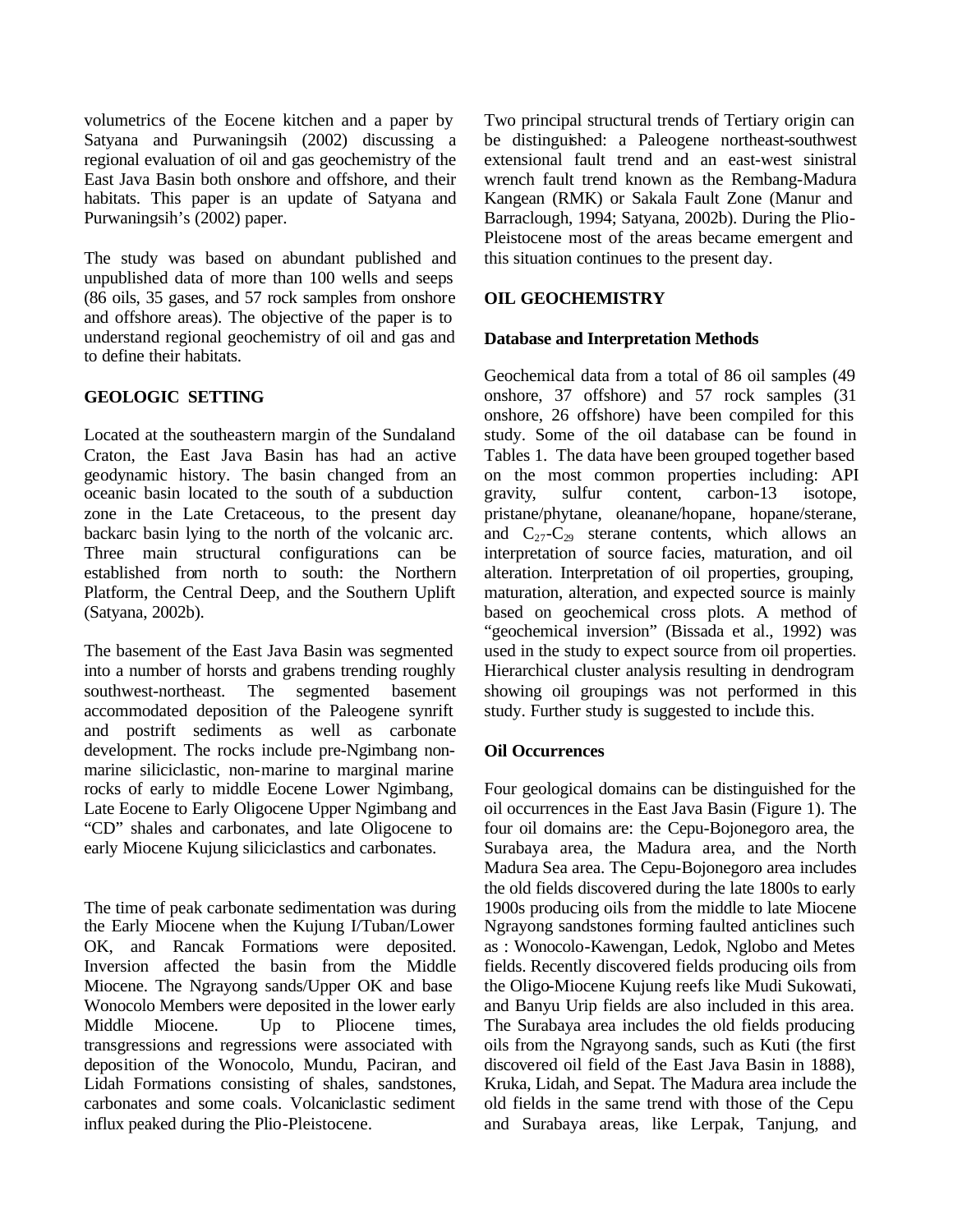volumetrics of the Eocene kitchen and a paper by Satyana and Purwaningsih (2002) discussing a regional evaluation of oil and gas geochemistry of the East Java Basin both onshore and offshore, and their habitats. This paper is an update of Satyana and Purwaningsih's (2002) paper.

The study was based on abundant published and unpublished data of more than 100 wells and seeps (86 oils, 35 gases, and 57 rock samples from onshore and offshore areas). The objective of the paper is to understand regional geochemistry of oil and gas and to define their habitats.

# **GEOLOGIC SETTING**

Located at the southeastern margin of the Sundaland Craton, the East Java Basin has had an active geodynamic history. The basin changed from an oceanic basin located to the south of a subduction zone in the Late Cretaceous, to the present day backarc basin lying to the north of the volcanic arc. Three main structural configurations can be established from north to south: the Northern Platform, the Central Deep, and the Southern Uplift (Satyana, 2002b).

The basement of the East Java Basin was segmented into a number of horsts and grabens trending roughly southwest-northeast. The segmented basement accommodated deposition of the Paleogene synrift and postrift sediments as well as carbonate development. The rocks include pre-Ngimbang nonmarine siliciclastic, non-marine to marginal marine rocks of early to middle Eocene Lower Ngimbang, Late Eocene to Early Oligocene Upper Ngimbang and "CD" shales and carbonates, and late Oligocene to early Miocene Kujung siliciclastics and carbonates.

The time of peak carbonate sedimentation was during the Early Miocene when the Kujung I/Tuban/Lower OK, and Rancak Formations were deposited. Inversion affected the basin from the Middle Miocene. The Ngrayong sands/Upper OK and base Wonocolo Members were deposited in the lower early Middle Miocene. Up to Pliocene times, transgressions and regressions were associated with deposition of the Wonocolo, Mundu, Paciran, and Lidah Formations consisting of shales, sandstones, carbonates and some coals. Volcaniclastic sediment influx peaked during the Plio-Pleistocene.

Two principal structural trends of Tertiary origin can be distinguished: a Paleogene northeast-southwest extensional fault trend and an east-west sinistral wrench fault trend known as the Rembang-Madura Kangean (RMK) or Sakala Fault Zone (Manur and Barraclough, 1994; Satyana, 2002b). During the Plio-Pleistocene most of the areas became emergent and this situation continues to the present day.

# **OIL GEOCHEMISTRY**

## **Database and Interpretation Methods**

Geochemical data from a total of 86 oil samples (49 onshore, 37 offshore) and 57 rock samples (31 onshore, 26 offshore) have been compiled for this study. Some of the oil database can be found in Tables 1. The data have been grouped together based on the most common properties including: API gravity, sulfur content, carbon-13 isotope, pristane/phytane, oleanane/hopane, hopane/sterane, and  $C_{27}-C_{29}$  sterane contents, which allows an interpretation of source facies, maturation, and oil alteration. Interpretation of oil properties, grouping, maturation, alteration, and expected source is mainly based on geochemical cross plots. A method of "geochemical inversion" (Bissada et al., 1992) was used in the study to expect source from oil properties. Hierarchical cluster analysis resulting in dendrogram showing oil groupings was not performed in this study. Further study is suggested to include this.

## **Oil Occurrences**

Four geological domains can be distinguished for the oil occurrences in the East Java Basin (Figure 1). The four oil domains are: the Cepu-Bojonegoro area, the Surabaya area, the Madura area, and the North Madura Sea area. The Cepu-Bojonegoro area includes the old fields discovered during the late 1800s to early 1900s producing oils from the middle to late Miocene Ngrayong sandstones forming faulted anticlines such as : Wonocolo-Kawengan, Ledok, Nglobo and Metes fields. Recently discovered fields producing oils from the Oligo-Miocene Kujung reefs like Mudi Sukowati, and Banyu Urip fields are also included in this area. The Surabaya area includes the old fields producing oils from the Ngrayong sands, such as Kuti (the first discovered oil field of the East Java Basin in 1888), Kruka, Lidah, and Sepat. The Madura area include the old fields in the same trend with those of the Cepu and Surabaya areas, like Lerpak, Tanjung, and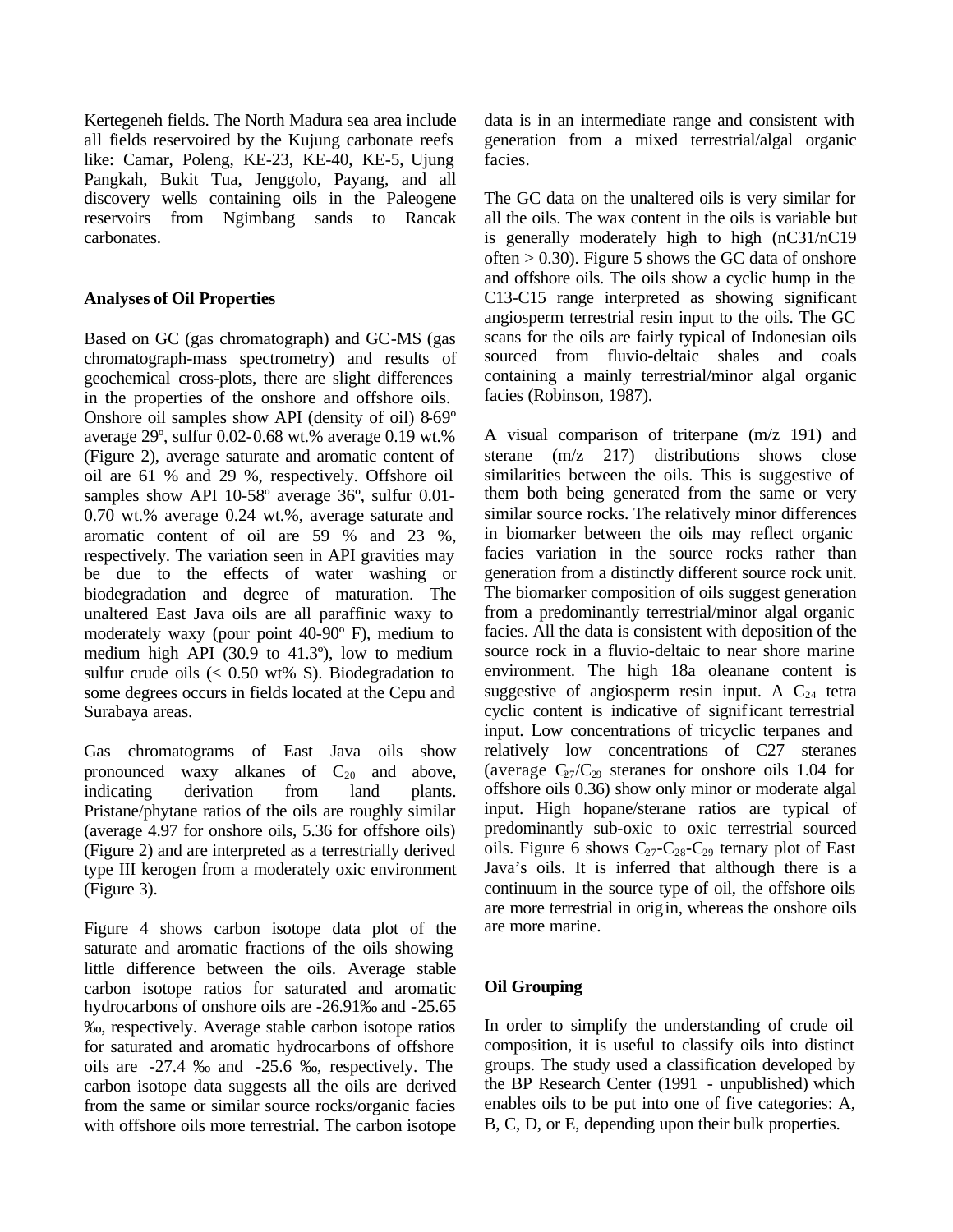Kertegeneh fields. The North Madura sea area include all fields reservoired by the Kujung carbonate reefs like: Camar, Poleng, KE-23, KE-40, KE-5, Ujung Pangkah, Bukit Tua, Jenggolo, Payang, and all discovery wells containing oils in the Paleogene reservoirs from Ngimbang sands to Rancak carbonates.

## **Analyses of Oil Properties**

Based on GC (gas chromatograph) and GC-MS (gas chromatograph-mass spectrometry) and results of geochemical cross-plots, there are slight differences in the properties of the onshore and offshore oils. Onshore oil samples show API (density of oil) 8-69º average 29º, sulfur 0.02-0.68 wt.% average 0.19 wt.% (Figure 2), average saturate and aromatic content of oil are 61 % and 29 %, respectively. Offshore oil samples show API 10-58º average 36º, sulfur 0.01- 0.70 wt.% average 0.24 wt.%, average saturate and aromatic content of oil are 59 % and 23 %, respectively. The variation seen in API gravities may be due to the effects of water washing or biodegradation and degree of maturation. The unaltered East Java oils are all paraffinic waxy to moderately waxy (pour point 40-90º F), medium to medium high API (30.9 to 41.3º), low to medium sulfur crude oils  $(< 0.50$  wt% S). Biodegradation to some degrees occurs in fields located at the Cepu and Surabaya areas.

Gas chromatograms of East Java oils show pronounced waxy alkanes of  $C_{20}$  and above, indicating derivation from land plants. Pristane/phytane ratios of the oils are roughly similar (average 4.97 for onshore oils, 5.36 for offshore oils) (Figure 2) and are interpreted as a terrestrially derived type III kerogen from a moderately oxic environment (Figure 3).

Figure 4 shows carbon isotope data plot of the saturate and aromatic fractions of the oils showing little difference between the oils. Average stable carbon isotope ratios for saturated and aromatic hydrocarbons of onshore oils are -26.91‰ and -25.65 ‰, respectively. Average stable carbon isotope ratios for saturated and aromatic hydrocarbons of offshore oils are -27.4 ‰ and -25.6 ‰, respectively. The carbon isotope data suggests all the oils are derived from the same or similar source rocks/organic facies with offshore oils more terrestrial. The carbon isotope data is in an intermediate range and consistent with generation from a mixed terrestrial/algal organic facies.

The GC data on the unaltered oils is very similar for all the oils. The wax content in the oils is variable but is generally moderately high to high (nC31/nC19 often  $> 0.30$ ). Figure 5 shows the GC data of onshore and offshore oils. The oils show a cyclic hump in the C13-C15 range interpreted as showing significant angiosperm terrestrial resin input to the oils. The GC scans for the oils are fairly typical of Indonesian oils sourced from fluvio-deltaic shales and coals containing a mainly terrestrial/minor algal organic facies (Robinson, 1987).

A visual comparison of triterpane (m/z 191) and sterane (m/z 217) distributions shows close similarities between the oils. This is suggestive of them both being generated from the same or very similar source rocks. The relatively minor differences in biomarker between the oils may reflect organic facies variation in the source rocks rather than generation from a distinctly different source rock unit. The biomarker composition of oils suggest generation from a predominantly terrestrial/minor algal organic facies. All the data is consistent with deposition of the source rock in a fluvio-deltaic to near shore marine environment. The high 18a oleanane content is suggestive of angiosperm resin input. A  $C_{24}$  tetra cyclic content is indicative of significant terrestrial input. Low concentrations of tricyclic terpanes and relatively low concentrations of C27 steranes (average  $C_{27}/C_{29}$  steranes for onshore oils 1.04 for offshore oils 0.36) show only minor or moderate algal input. High hopane/sterane ratios are typical of predominantly sub-oxic to oxic terrestrial sourced oils. Figure 6 shows  $C_{27}-C_{28}-C_{29}$  ternary plot of East Java's oils. It is inferred that although there is a continuum in the source type of oil, the offshore oils are more terrestrial in origin, whereas the onshore oils are more marine.

# **Oil Grouping**

In order to simplify the understanding of crude oil composition, it is useful to classify oils into distinct groups. The study used a classification developed by the BP Research Center (1991 - unpublished) which enables oils to be put into one of five categories: A, B, C, D, or E, depending upon their bulk properties.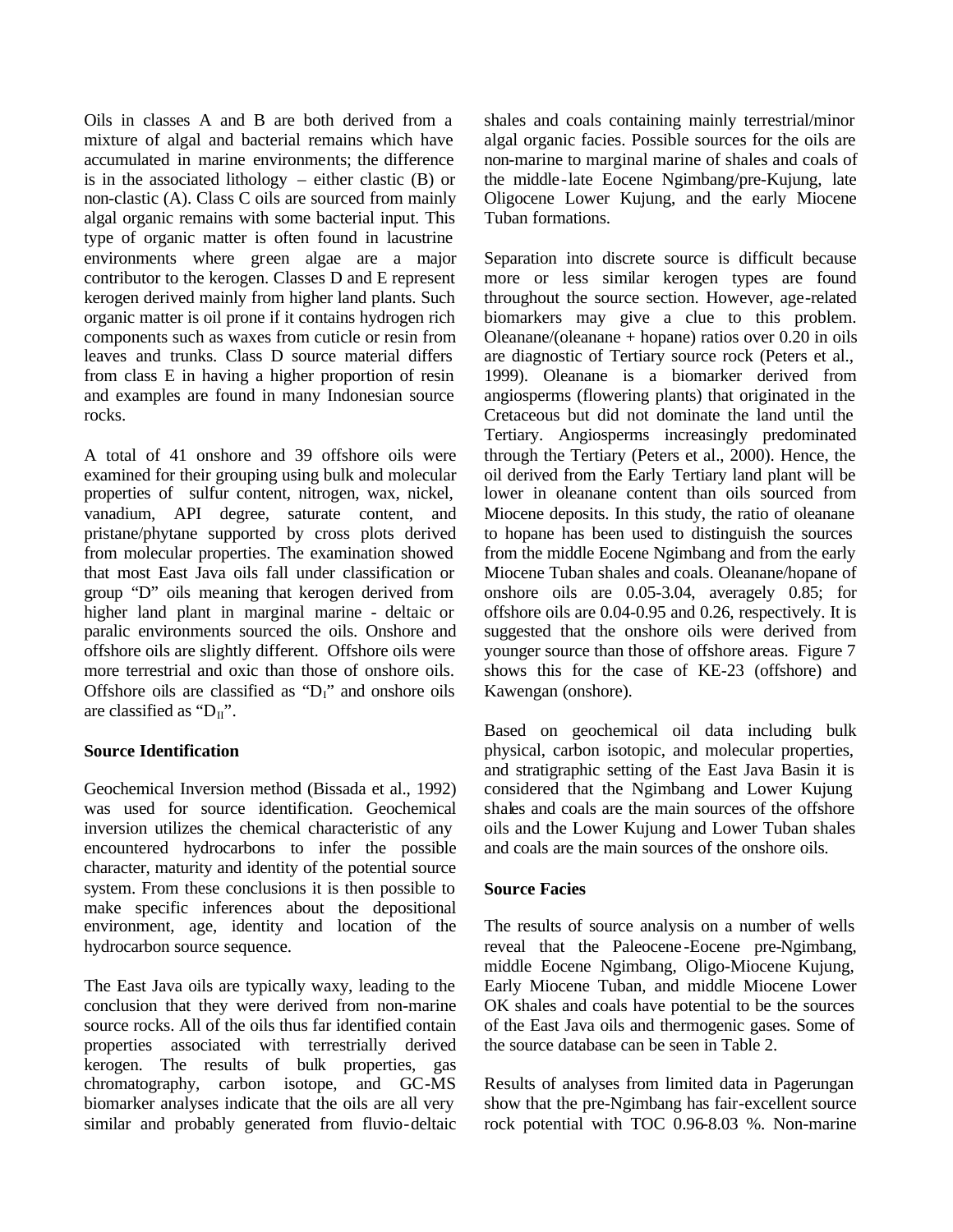Oils in classes A and B are both derived from a mixture of algal and bacterial remains which have accumulated in marine environments; the difference is in the associated lithology – either clastic  $(B)$  or non-clastic (A). Class C oils are sourced from mainly algal organic remains with some bacterial input. This type of organic matter is often found in lacustrine environments where green algae are a major contributor to the kerogen. Classes D and E represent kerogen derived mainly from higher land plants. Such organic matter is oil prone if it contains hydrogen rich components such as waxes from cuticle or resin from leaves and trunks. Class D source material differs from class E in having a higher proportion of resin and examples are found in many Indonesian source rocks.

A total of 41 onshore and 39 offshore oils were examined for their grouping using bulk and molecular properties of sulfur content, nitrogen, wax, nickel, vanadium, API degree, saturate content, and pristane/phytane supported by cross plots derived from molecular properties. The examination showed that most East Java oils fall under classification or group "D" oils meaning that kerogen derived from higher land plant in marginal marine - deltaic or paralic environments sourced the oils. Onshore and offshore oils are slightly different. Offshore oils were more terrestrial and oxic than those of onshore oils. Offshore oils are classified as " $D_1$ " and onshore oils are classified as " $D_{II}$ ".

## **Source Identification**

Geochemical Inversion method (Bissada et al., 1992) was used for source identification. Geochemical inversion utilizes the chemical characteristic of any encountered hydrocarbons to infer the possible character, maturity and identity of the potential source system. From these conclusions it is then possible to make specific inferences about the depositional environment, age, identity and location of the hydrocarbon source sequence.

The East Java oils are typically waxy, leading to the conclusion that they were derived from non-marine source rocks. All of the oils thus far identified contain properties associated with terrestrially derived kerogen. The results of bulk properties, gas chromatography, carbon isotope, and GC-MS biomarker analyses indicate that the oils are all very similar and probably generated from fluvio-deltaic shales and coals containing mainly terrestrial/minor algal organic facies. Possible sources for the oils are non-marine to marginal marine of shales and coals of the middle-late Eocene Ngimbang/pre-Kujung, late Oligocene Lower Kujung, and the early Miocene Tuban formations.

Separation into discrete source is difficult because more or less similar kerogen types are found throughout the source section. However, age-related biomarkers may give a clue to this problem. Oleanane/(oleanane + hopane) ratios over  $0.\overline{2}0$  in oils are diagnostic of Tertiary source rock (Peters et al., 1999). Oleanane is a biomarker derived from angiosperms (flowering plants) that originated in the Cretaceous but did not dominate the land until the Tertiary. Angiosperms increasingly predominated through the Tertiary (Peters et al., 2000). Hence, the oil derived from the Early Tertiary land plant will be lower in oleanane content than oils sourced from Miocene deposits. In this study, the ratio of oleanane to hopane has been used to distinguish the sources from the middle Eocene Ngimbang and from the early Miocene Tuban shales and coals. Oleanane/hopane of onshore oils are 0.05-3.04, averagely 0.85; for offshore oils are 0.04-0.95 and 0.26, respectively. It is suggested that the onshore oils were derived from younger source than those of offshore areas. Figure 7 shows this for the case of KE-23 (offshore) and Kawengan (onshore).

Based on geochemical oil data including bulk physical, carbon isotopic, and molecular properties, and stratigraphic setting of the East Java Basin it is considered that the Ngimbang and Lower Kujung shales and coals are the main sources of the offshore oils and the Lower Kujung and Lower Tuban shales and coals are the main sources of the onshore oils.

# **Source Facies**

The results of source analysis on a number of wells reveal that the Paleocene -Eocene pre-Ngimbang, middle Eocene Ngimbang, Oligo-Miocene Kujung, Early Miocene Tuban, and middle Miocene Lower OK shales and coals have potential to be the sources of the East Java oils and thermogenic gases. Some of the source database can be seen in Table 2.

Results of analyses from limited data in Pagerungan show that the pre-Ngimbang has fair-excellent source rock potential with TOC 0.96-8.03 %. Non-marine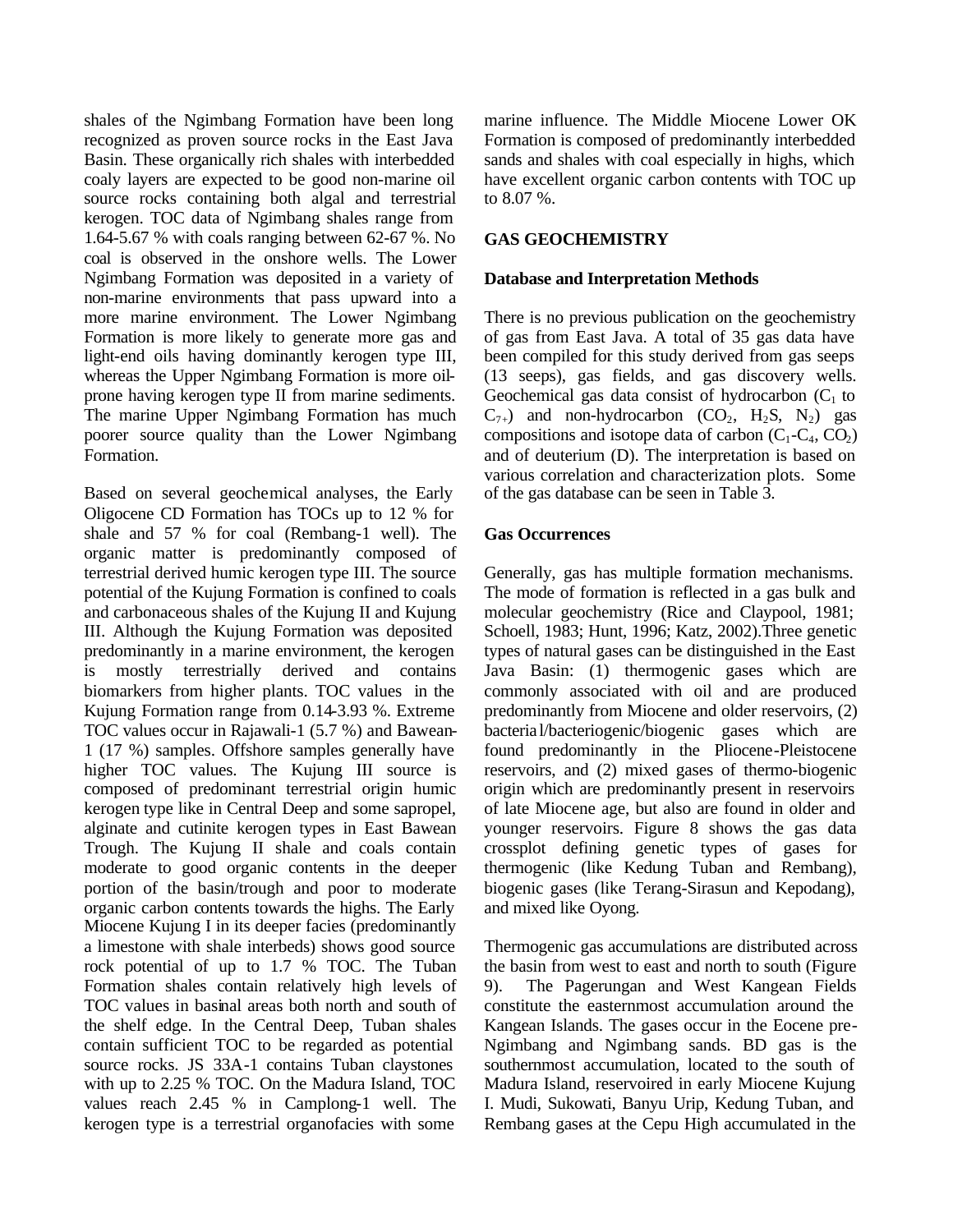shales of the Ngimbang Formation have been long recognized as proven source rocks in the East Java Basin. These organically rich shales with interbedded coaly layers are expected to be good non-marine oil source rocks containing both algal and terrestrial kerogen. TOC data of Ngimbang shales range from 1.64-5.67 % with coals ranging between 62-67 %. No coal is observed in the onshore wells. The Lower Ngimbang Formation was deposited in a variety of non-marine environments that pass upward into a more marine environment. The Lower Ngimbang Formation is more likely to generate more gas and light-end oils having dominantly kerogen type III, whereas the Upper Ngimbang Formation is more oilprone having kerogen type II from marine sediments. The marine Upper Ngimbang Formation has much poorer source quality than the Lower Ngimbang Formation.

Based on several geochemical analyses, the Early Oligocene CD Formation has TOCs up to 12 % for shale and 57 % for coal (Rembang-1 well). The organic matter is predominantly composed of terrestrial derived humic kerogen type III. The source potential of the Kujung Formation is confined to coals and carbonaceous shales of the Kujung II and Kujung III. Although the Kujung Formation was deposited predominantly in a marine environment, the kerogen is mostly terrestrially derived and contains biomarkers from higher plants. TOC values in the Kujung Formation range from 0.14-3.93 %. Extreme TOC values occur in Rajawali-1 (5.7 %) and Bawean-1 (17 %) samples. Offshore samples generally have higher TOC values. The Kujung III source is composed of predominant terrestrial origin humic kerogen type like in Central Deep and some sapropel, alginate and cutinite kerogen types in East Bawean Trough. The Kujung II shale and coals contain moderate to good organic contents in the deeper portion of the basin/trough and poor to moderate organic carbon contents towards the highs. The Early Miocene Kujung I in its deeper facies (predominantly a limestone with shale interbeds) shows good source rock potential of up to 1.7 % TOC. The Tuban Formation shales contain relatively high levels of TOC values in basinal areas both north and south of the shelf edge. In the Central Deep, Tuban shales contain sufficient TOC to be regarded as potential source rocks. JS 33A-1 contains Tuban claystones with up to 2.25 % TOC. On the Madura Island, TOC values reach 2.45 % in Camplong-1 well. The kerogen type is a terrestrial organofacies with some

marine influence. The Middle Miocene Lower OK Formation is composed of predominantly interbedded sands and shales with coal especially in highs, which have excellent organic carbon contents with TOC up to 8.07 %.

## **GAS GEOCHEMISTRY**

## **Database and Interpretation Methods**

There is no previous publication on the geochemistry of gas from East Java. A total of 35 gas data have been compiled for this study derived from gas seeps (13 seeps), gas fields, and gas discovery wells. Geochemical gas data consist of hydrocarbon  $(C_1$  to  $C_{7+}$ ) and non-hydrocarbon  $(CO_2, H_2S, N_2)$  gas compositions and isotope data of carbon  $(C_1-C_4, CO_2)$ and of deuterium (D). The interpretation is based on various correlation and characterization plots. Some of the gas database can be seen in Table 3.

## **Gas Occurrences**

Generally, gas has multiple formation mechanisms. The mode of formation is reflected in a gas bulk and molecular geochemistry (Rice and Claypool, 1981; Schoell, 1983; Hunt, 1996; Katz, 2002).Three genetic types of natural gases can be distinguished in the East Java Basin: (1) thermogenic gases which are commonly associated with oil and are produced predominantly from Miocene and older reservoirs, (2) bacteria l/bacteriogenic/biogenic gases which are found predominantly in the Pliocene-Pleistocene reservoirs, and (2) mixed gases of thermo-biogenic origin which are predominantly present in reservoirs of late Miocene age, but also are found in older and younger reservoirs. Figure 8 shows the gas data crossplot defining genetic types of gases for thermogenic (like Kedung Tuban and Rembang), biogenic gases (like Terang-Sirasun and Kepodang), and mixed like Oyong.

Thermogenic gas accumulations are distributed across the basin from west to east and north to south (Figure 9). The Pagerungan and West Kangean Fields constitute the easternmost accumulation around the Kangean Islands. The gases occur in the Eocene pre-Ngimbang and Ngimbang sands. BD gas is the southernmost accumulation, located to the south of Madura Island, reservoired in early Miocene Kujung I. Mudi, Sukowati, Banyu Urip, Kedung Tuban, and Rembang gases at the Cepu High accumulated in the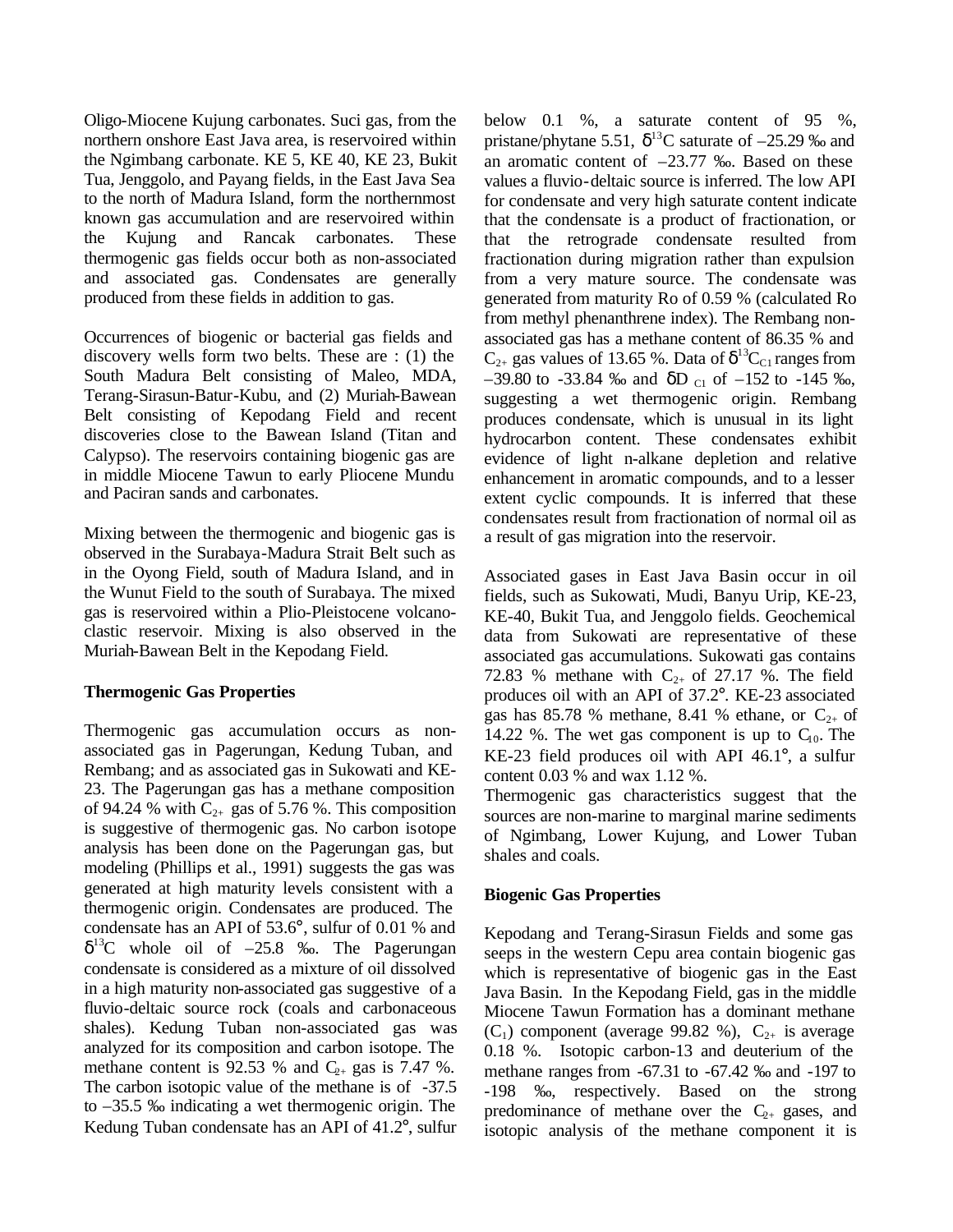Oligo-Miocene Kujung carbonates. Suci gas, from the northern onshore East Java area, is reservoired within the Ngimbang carbonate. KE 5, KE 40, KE 23, Bukit Tua, Jenggolo, and Payang fields, in the East Java Sea to the north of Madura Island, form the northernmost known gas accumulation and are reservoired within the Kujung and Rancak carbonates. These thermogenic gas fields occur both as non-associated and associated gas. Condensates are generally produced from these fields in addition to gas.

Occurrences of biogenic or bacterial gas fields and discovery wells form two belts. These are : (1) the South Madura Belt consisting of Maleo, MDA, Terang-Sirasun-Batur-Kubu, and (2) Muriah-Bawean Belt consisting of Kepodang Field and recent discoveries close to the Bawean Island (Titan and Calypso). The reservoirs containing biogenic gas are in middle Miocene Tawun to early Pliocene Mundu and Paciran sands and carbonates.

Mixing between the thermogenic and biogenic gas is observed in the Surabaya-Madura Strait Belt such as in the Oyong Field, south of Madura Island, and in the Wunut Field to the south of Surabaya. The mixed gas is reservoired within a Plio-Pleistocene volcanoclastic reservoir. Mixing is also observed in the Muriah-Bawean Belt in the Kepodang Field.

## **Thermogenic Gas Properties**

Thermogenic gas accumulation occurs as nonassociated gas in Pagerungan, Kedung Tuban, and Rembang; and as associated gas in Sukowati and KE-23. The Pagerungan gas has a methane composition of 94.24 % with  $C_{2+}$  gas of 5.76 %. This composition is suggestive of thermogenic gas. No carbon isotope analysis has been done on the Pagerungan gas, but modeling (Phillips et al., 1991) suggests the gas was generated at high maturity levels consistent with a thermogenic origin. Condensates are produced. The condensate has an API of 53.6°, sulfur of 0.01 % and  $\delta^{13}$ C whole oil of  $-25.8$  ‰. The Pagerungan condensate is considered as a mixture of oil dissolved in a high maturity non-associated gas suggestive of a fluvio-deltaic source rock (coals and carbonaceous shales). Kedung Tuban non-associated gas was analyzed for its composition and carbon isotope. The methane content is 92.53 % and  $C_{2+}$  gas is 7.47 %. The carbon isotopic value of the methane is of -37.5 to –35.5 ‰ indicating a wet thermogenic origin. The Kedung Tuban condensate has an API of 41.2°, sulfur

below 0.1 %, a saturate content of 95 %, pristane/phytane 5.51,  $\delta^{13}$ C saturate of  $-25.29$  ‰ and an aromatic content of –23.77 ‰. Based on these values a fluvio-deltaic source is inferred. The low API for condensate and very high saturate content indicate that the condensate is a product of fractionation, or that the retrograde condensate resulted from fractionation during migration rather than expulsion from a very mature source. The condensate was generated from maturity Ro of 0.59 % (calculated Ro from methyl phenanthrene index). The Rembang nonassociated gas has a methane content of 86.35 % and  $C_{2+}$  gas values of 13.65 %. Data of  $\delta^{13}C_{C1}$  ranges from  $-39.80$  to  $-33.84$  ‰ and  $\delta$ D <sub>C1</sub> of  $-152$  to  $-145$  ‰, suggesting a wet thermogenic origin. Rembang produces condensate, which is unusual in its light hydrocarbon content. These condensates exhibit evidence of light n-alkane depletion and relative enhancement in aromatic compounds, and to a lesser extent cyclic compounds. It is inferred that these condensates result from fractionation of normal oil as a result of gas migration into the reservoir.

Associated gases in East Java Basin occur in oil fields, such as Sukowati, Mudi, Banyu Urip, KE-23, KE-40, Bukit Tua, and Jenggolo fields. Geochemical data from Sukowati are representative of these associated gas accumulations. Sukowati gas contains 72.83 % methane with  $C_{2+}$  of 27.17 %. The field produces oil with an API of 37.2°. KE-23 associated gas has 85.78 % methane, 8.41 % ethane, or  $C_{2+}$  of 14.22 %. The wet gas component is up to  $C_{10}$ . The KE-23 field produces oil with API 46.1°, a sulfur content 0.03 % and wax 1.12 %.

Thermogenic gas characteristics suggest that the sources are non-marine to marginal marine sediments of Ngimbang, Lower Kujung, and Lower Tuban shales and coals.

# **Biogenic Gas Properties**

Kepodang and Terang-Sirasun Fields and some gas seeps in the western Cepu area contain biogenic gas which is representative of biogenic gas in the East Java Basin. In the Kepodang Field, gas in the middle Miocene Tawun Formation has a dominant methane  $(C_1)$  component (average 99.82 %),  $C_{2+}$  is average 0.18 %. Isotopic carbon-13 and deuterium of the methane ranges from -67.31 to -67.42 ‰ and -197 to -198 ‰, respectively. Based on the strong predominance of methane over the  $C_{2+}$  gases, and isotopic analysis of the methane component it is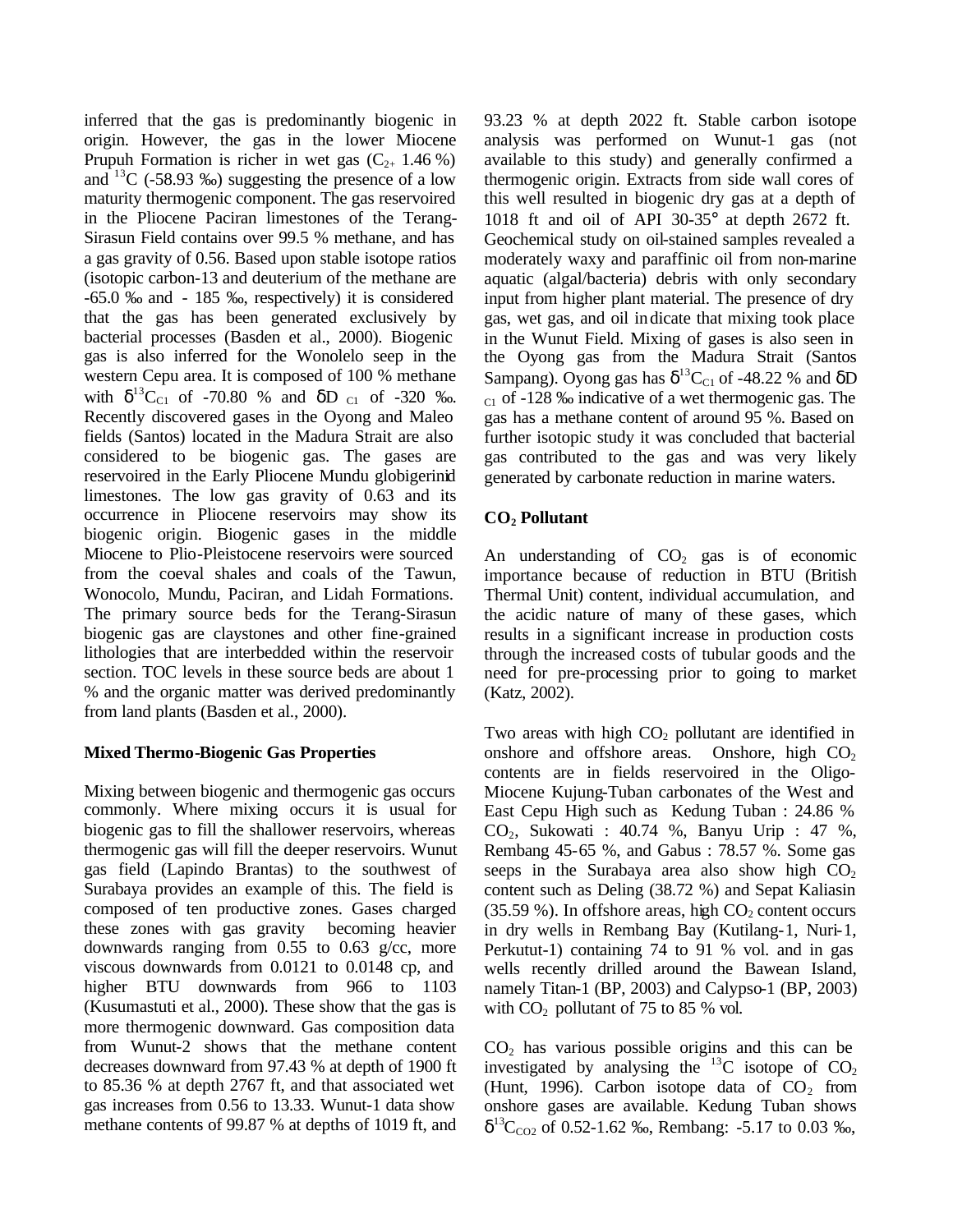inferred that the gas is predominantly biogenic in origin. However, the gas in the lower Miocene Prupuh Formation is richer in wet gas  $(C_{2+} 1.46\%)$ and  $13^{\circ}$ C (-58.93 ‰) suggesting the presence of a low maturity thermogenic component. The gas reservoired in the Pliocene Paciran limestones of the Terang-Sirasun Field contains over 99.5 % methane, and has a gas gravity of 0.56. Based upon stable isotope ratios (isotopic carbon-13 and deuterium of the methane are -65.0 ‰ and - 185 ‰, respectively) it is considered that the gas has been generated exclusively by bacterial processes (Basden et al., 2000). Biogenic gas is also inferred for the Wonolelo seep in the western Cepu area. It is composed of 100 % methane with  $\delta^{13}C_{C1}$  of -70.80 % and  $\delta D_{C1}$  of -320 %. Recently discovered gases in the Oyong and Maleo fields (Santos) located in the Madura Strait are also considered to be biogenic gas. The gases are reservoired in the Early Pliocene Mundu globigerinid limestones. The low gas gravity of 0.63 and its occurrence in Pliocene reservoirs may show its biogenic origin. Biogenic gases in the middle Miocene to Plio-Pleistocene reservoirs were sourced from the coeval shales and coals of the Tawun, Wonocolo, Mundu, Paciran, and Lidah Formations. The primary source beds for the Terang-Sirasun biogenic gas are claystones and other fine-grained lithologies that are interbedded within the reservoir section. TOC levels in these source beds are about 1 % and the organic matter was derived predominantly from land plants (Basden et al., 2000).

## **Mixed Thermo-Biogenic Gas Properties**

Mixing between biogenic and thermogenic gas occurs commonly. Where mixing occurs it is usual for biogenic gas to fill the shallower reservoirs, whereas thermogenic gas will fill the deeper reservoirs. Wunut gas field (Lapindo Brantas) to the southwest of Surabaya provides an example of this. The field is composed of ten productive zones. Gases charged these zones with gas gravity becoming heavier downwards ranging from 0.55 to 0.63 g/cc, more viscous downwards from 0.0121 to 0.0148 cp, and higher BTU downwards from 966 to 1103 (Kusumastuti et al., 2000). These show that the gas is more thermogenic downward. Gas composition data from Wunut-2 shows that the methane content decreases downward from 97.43 % at depth of 1900 ft to 85.36 % at depth 2767 ft, and that associated wet gas increases from 0.56 to 13.33. Wunut-1 data show methane contents of 99.87 % at depths of 1019 ft, and

93.23 % at depth 2022 ft. Stable carbon isotope analysis was performed on Wunut-1 gas (not available to this study) and generally confirmed a thermogenic origin. Extracts from side wall cores of this well resulted in biogenic dry gas at a depth of 1018 ft and oil of API 30-35° at depth 2672 ft. Geochemical study on oil-stained samples revealed a moderately waxy and paraffinic oil from non-marine aquatic (algal/bacteria) debris with only secondary input from higher plant material. The presence of dry gas, wet gas, and oil indicate that mixing took place in the Wunut Field. Mixing of gases is also seen in the Oyong gas from the Madura Strait (Santos Sampang). Oyong gas has  $\delta^{13}C_{C1}$  of -48.22 % and  $\delta D$  $_{\text{C1}}$  of -128 ‰ indicative of a wet thermogenic gas. The gas has a methane content of around 95 %. Based on further isotopic study it was concluded that bacterial gas contributed to the gas and was very likely generated by carbonate reduction in marine waters.

# **CO2 Pollutant**

An understanding of  $CO<sub>2</sub>$  gas is of economic importance because of reduction in BTU (British Thermal Unit) content, individual accumulation, and the acidic nature of many of these gases, which results in a significant increase in production costs through the increased costs of tubular goods and the need for pre-processing prior to going to market (Katz, 2002).

Two areas with high  $CO<sub>2</sub>$  pollutant are identified in onshore and offshore areas. Onshore, high  $CO<sub>2</sub>$ contents are in fields reservoired in the Oligo-Miocene Kujung-Tuban carbonates of the West and East Cepu High such as Kedung Tuban : 24.86 %  $CO<sub>2</sub>$ , Sukowati : 40.74 %, Banyu Urip : 47 %, Rembang 45-65 %, and Gabus : 78.57 %. Some gas seeps in the Surabaya area also show high  $CO<sub>2</sub>$ content such as Deling (38.72 %) and Sepat Kaliasin  $(35.59\%)$ . In offshore areas, high  $CO<sub>2</sub>$  content occurs in dry wells in Rembang Bay (Kutilang-1, Nuri-1, Perkutut-1) containing 74 to 91 % vol. and in gas wells recently drilled around the Bawean Island, namely Titan-1 (BP, 2003) and Calypso-1 (BP, 2003) with  $CO<sub>2</sub>$  pollutant of 75 to 85 % vol.

 $CO<sub>2</sub>$  has various possible origins and this can be investigated by analysing the  $^{13}$ C isotope of CO<sub>2</sub> (Hunt, 1996). Carbon isotope data of  $CO<sub>2</sub>$  from onshore gases are available. Kedung Tuban shows  $\delta^{13}C_{CO2}$  of 0.52-1.62 ‰, Rembang: -5.17 to 0.03 ‰,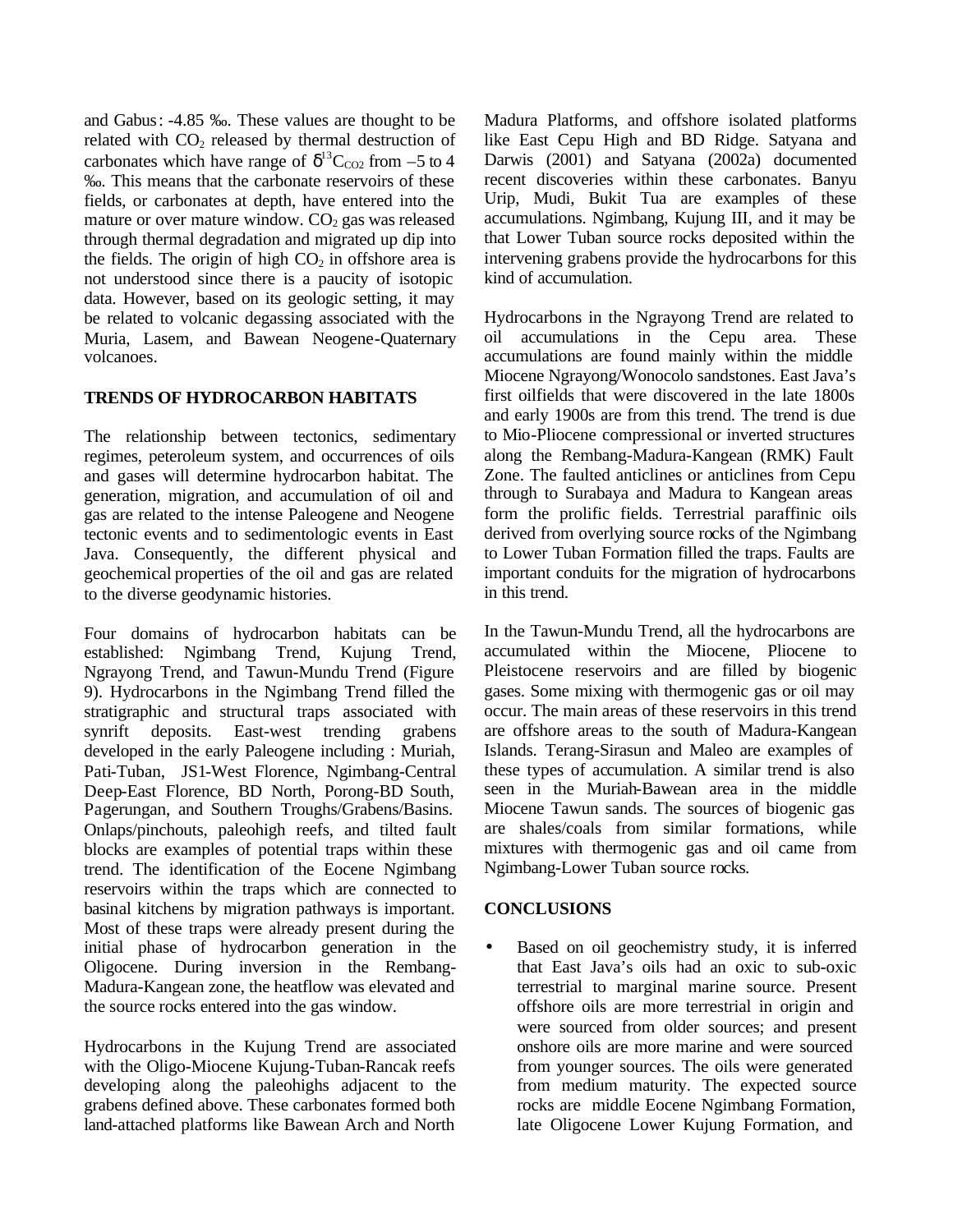and Gabus: -4.85 ‰. These values are thought to be related with  $CO<sub>2</sub>$  released by thermal destruction of carbonates which have range of  $\delta^{13}C_{CO2}$  from -5 to 4 ‰. This means that the carbonate reservoirs of these fields, or carbonates at depth, have entered into the mature or over mature window.  $CO<sub>2</sub>$  gas was released through thermal degradation and migrated up dip into the fields. The origin of high  $CO<sub>2</sub>$  in offshore area is not understood since there is a paucity of isotopic data. However, based on its geologic setting, it may be related to volcanic degassing associated with the Muria, Lasem, and Bawean Neogene-Quaternary volcanoes.

## **TRENDS OF HYDROCARBON HABITATS**

The relationship between tectonics, sedimentary regimes, peteroleum system, and occurrences of oils and gases will determine hydrocarbon habitat. The generation, migration, and accumulation of oil and gas are related to the intense Paleogene and Neogene tectonic events and to sedimentologic events in East Java. Consequently, the different physical and geochemical properties of the oil and gas are related to the diverse geodynamic histories.

Four domains of hydrocarbon habitats can be established: Ngimbang Trend, Kujung Trend, Ngrayong Trend, and Tawun-Mundu Trend (Figure 9). Hydrocarbons in the Ngimbang Trend filled the stratigraphic and structural traps associated with synrift deposits. East-west trending grabens developed in the early Paleogene including : Muriah, Pati-Tuban, JS1-West Florence, Ngimbang-Central Deep-East Florence, BD North, Porong-BD South, Pagerungan, and Southern Troughs/Grabens/Basins. Onlaps/pinchouts, paleohigh reefs, and tilted fault blocks are examples of potential traps within these trend. The identification of the Eocene Ngimbang reservoirs within the traps which are connected to basinal kitchens by migration pathways is important. Most of these traps were already present during the initial phase of hydrocarbon generation in the Oligocene. During inversion in the Rembang-Madura-Kangean zone, the heatflow was elevated and the source rocks entered into the gas window.

Hydrocarbons in the Kujung Trend are associated with the Oligo-Miocene Kujung-Tuban-Rancak reefs developing along the paleohighs adjacent to the grabens defined above. These carbonates formed both land-attached platforms like Bawean Arch and North Madura Platforms, and offshore isolated platforms like East Cepu High and BD Ridge. Satyana and Darwis (2001) and Satyana (2002a) documented recent discoveries within these carbonates. Banyu Urip, Mudi, Bukit Tua are examples of these accumulations. Ngimbang, Kujung III, and it may be that Lower Tuban source rocks deposited within the intervening grabens provide the hydrocarbons for this kind of accumulation.

Hydrocarbons in the Ngrayong Trend are related to oil accumulations in the Cepu area. These accumulations are found mainly within the middle Miocene Ngrayong/Wonocolo sandstones. East Java's first oilfields that were discovered in the late 1800s and early 1900s are from this trend. The trend is due to Mio-Pliocene compressional or inverted structures along the Rembang-Madura-Kangean (RMK) Fault Zone. The faulted anticlines or anticlines from Cepu through to Surabaya and Madura to Kangean areas form the prolific fields. Terrestrial paraffinic oils derived from overlying source rocks of the Ngimbang to Lower Tuban Formation filled the traps. Faults are important conduits for the migration of hydrocarbons in this trend.

In the Tawun-Mundu Trend, all the hydrocarbons are accumulated within the Miocene, Pliocene to Pleistocene reservoirs and are filled by biogenic gases. Some mixing with thermogenic gas or oil may occur. The main areas of these reservoirs in this trend are offshore areas to the south of Madura-Kangean Islands. Terang-Sirasun and Maleo are examples of these types of accumulation. A similar trend is also seen in the Muriah-Bawean area in the middle Miocene Tawun sands. The sources of biogenic gas are shales/coals from similar formations, while mixtures with thermogenic gas and oil came from Ngimbang-Lower Tuban source rocks.

## **CONCLUSIONS**

• Based on oil geochemistry study, it is inferred that East Java's oils had an oxic to sub-oxic terrestrial to marginal marine source. Present offshore oils are more terrestrial in origin and were sourced from older sources; and present onshore oils are more marine and were sourced from younger sources. The oils were generated from medium maturity. The expected source rocks are middle Eocene Ngimbang Formation, late Oligocene Lower Kujung Formation, and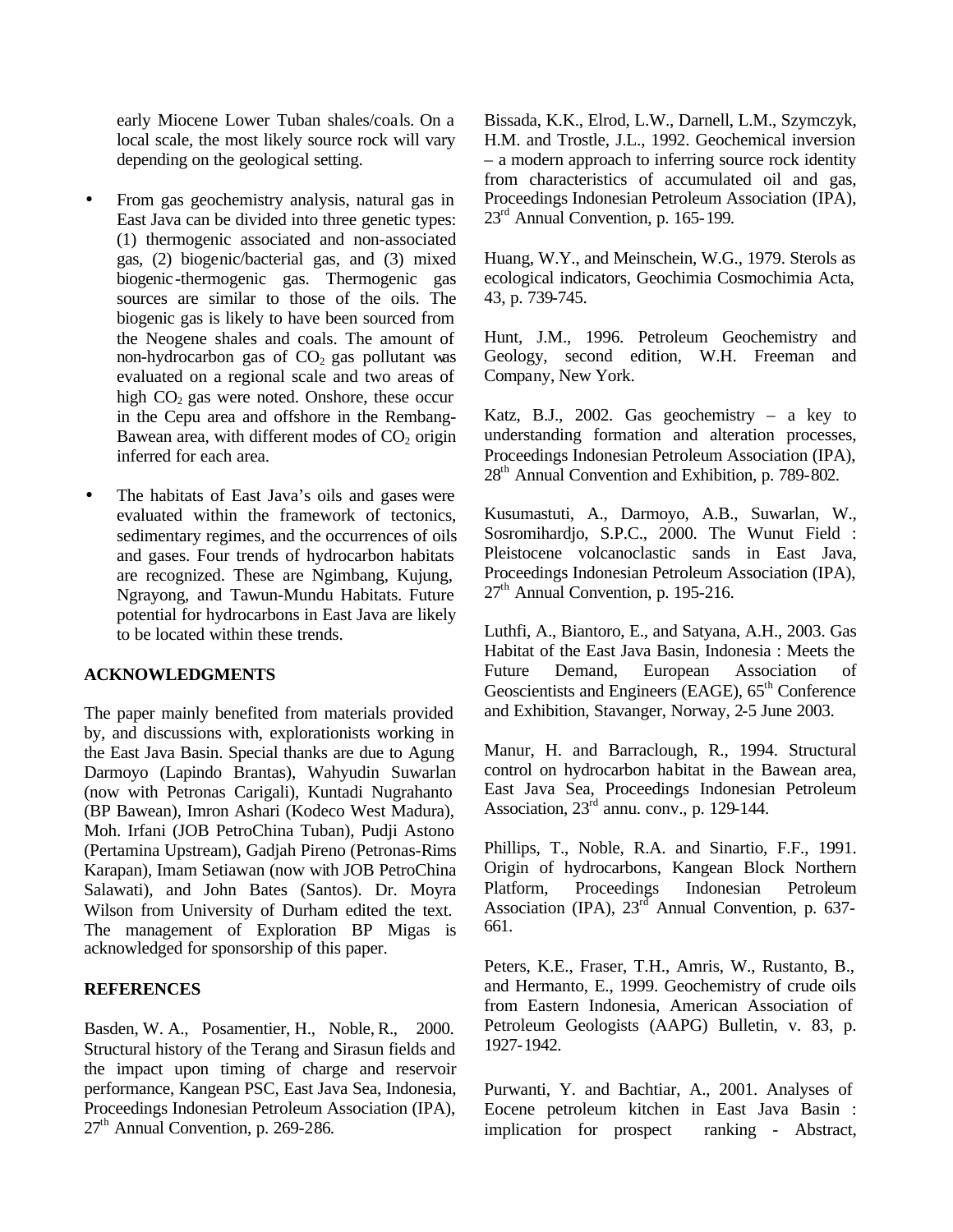early Miocene Lower Tuban shales/coals. On a local scale, the most likely source rock will vary depending on the geological setting.

- From gas geochemistry analysis, natural gas in East Java can be divided into three genetic types: (1) thermogenic associated and non-associated gas, (2) biogenic/bacterial gas, and (3) mixed biogenic-thermogenic gas. Thermogenic gas sources are similar to those of the oils. The biogenic gas is likely to have been sourced from the Neogene shales and coals. The amount of non-hydrocarbon gas of  $CO<sub>2</sub>$  gas pollutant was evaluated on a regional scale and two areas of high  $CO<sub>2</sub>$  gas were noted. Onshore, these occur in the Cepu area and offshore in the Rembang-Bawean area, with different modes of  $CO<sub>2</sub>$  origin inferred for each area.
- The habitats of East Java's oils and gases were evaluated within the framework of tectonics, sedimentary regimes, and the occurrences of oils and gases. Four trends of hydrocarbon habitats are recognized. These are Ngimbang, Kujung, Ngrayong, and Tawun-Mundu Habitats. Future potential for hydrocarbons in East Java are likely to be located within these trends.

#### **ACKNOWLEDGMENTS**

The paper mainly benefited from materials provided by, and discussions with, explorationists working in the East Java Basin. Special thanks are due to Agung Darmoyo (Lapindo Brantas), Wahyudin Suwarlan (now with Petronas Carigali), Kuntadi Nugrahanto (BP Bawean), Imron Ashari (Kodeco West Madura), Moh. Irfani (JOB PetroChina Tuban), Pudji Astono (Pertamina Upstream), Gadjah Pireno (Petronas-Rims Karapan), Imam Setiawan (now with JOB PetroChina Salawati), and John Bates (Santos). Dr. Moyra Wilson from University of Durham edited the text. The management of Exploration BP Migas is acknowledged for sponsorship of this paper.

## **REFERENCES**

Basden, W. A., Posamentier, H., Noble, R., 2000. Structural history of the Terang and Sirasun fields and the impact upon timing of charge and reservoir performance, Kangean PSC, East Java Sea, Indonesia, Proceedings Indonesian Petroleum Association (IPA), 27<sup>th</sup> Annual Convention, p. 269-286.

Bissada, K.K., Elrod, L.W., Darnell, L.M., Szymczyk, H.M. and Trostle, J.L., 1992. Geochemical inversion – a modern approach to inferring source rock identity from characteristics of accumulated oil and gas, Proceedings Indonesian Petroleum Association (IPA), 23<sup>rd</sup> Annual Convention, p. 165-199.

Huang, W.Y., and Meinschein, W.G., 1979. Sterols as ecological indicators, Geochimia Cosmochimia Acta, 43, p. 739-745.

Hunt, J.M., 1996. Petroleum Geochemistry and Geology, second edition, W.H. Freeman and Company, New York.

Katz, B.J., 2002. Gas geochemistry – a key to understanding formation and alteration processes, Proceedings Indonesian Petroleum Association (IPA), 28<sup>th</sup> Annual Convention and Exhibition, p. 789-802.

Kusumastuti, A., Darmoyo, A.B., Suwarlan, W., Sosromihardjo, S.P.C., 2000. The Wunut Field : Pleistocene volcanoclastic sands in East Java, Proceedings Indonesian Petroleum Association (IPA),  $27<sup>th</sup>$  Annual Convention, p. 195-216.

Luthfi, A., Biantoro, E., and Satyana, A.H., 2003. Gas Habitat of the East Java Basin, Indonesia : Meets the Future Demand, European Association of Geoscientists and Engineers (EAGE), 65<sup>th</sup> Conference and Exhibition, Stavanger, Norway, 2-5 June 2003.

Manur, H. and Barraclough, R., 1994. Structural control on hydrocarbon habitat in the Bawean area, East Java Sea, Proceedings Indonesian Petroleum Association,  $23^{\text{rd}}$  annu. conv., p. 129-144.

Phillips, T., Noble, R.A. and Sinartio, F.F., 1991. Origin of hydrocarbons, Kangean Block Northern Platform, Proceedings Indonesian Petroleum Association (IPA),  $23<sup>rd</sup>$  Annual Convention, p. 637-661.

Peters, K.E., Fraser, T.H., Amris, W., Rustanto, B., and Hermanto, E., 1999. Geochemistry of crude oils from Eastern Indonesia, American Association of Petroleum Geologists (AAPG) Bulletin, v. 83, p. 1927-1942.

Purwanti, Y. and Bachtiar, A., 2001. Analyses of Eocene petroleum kitchen in East Java Basin : implication for prospect ranking - Abstract,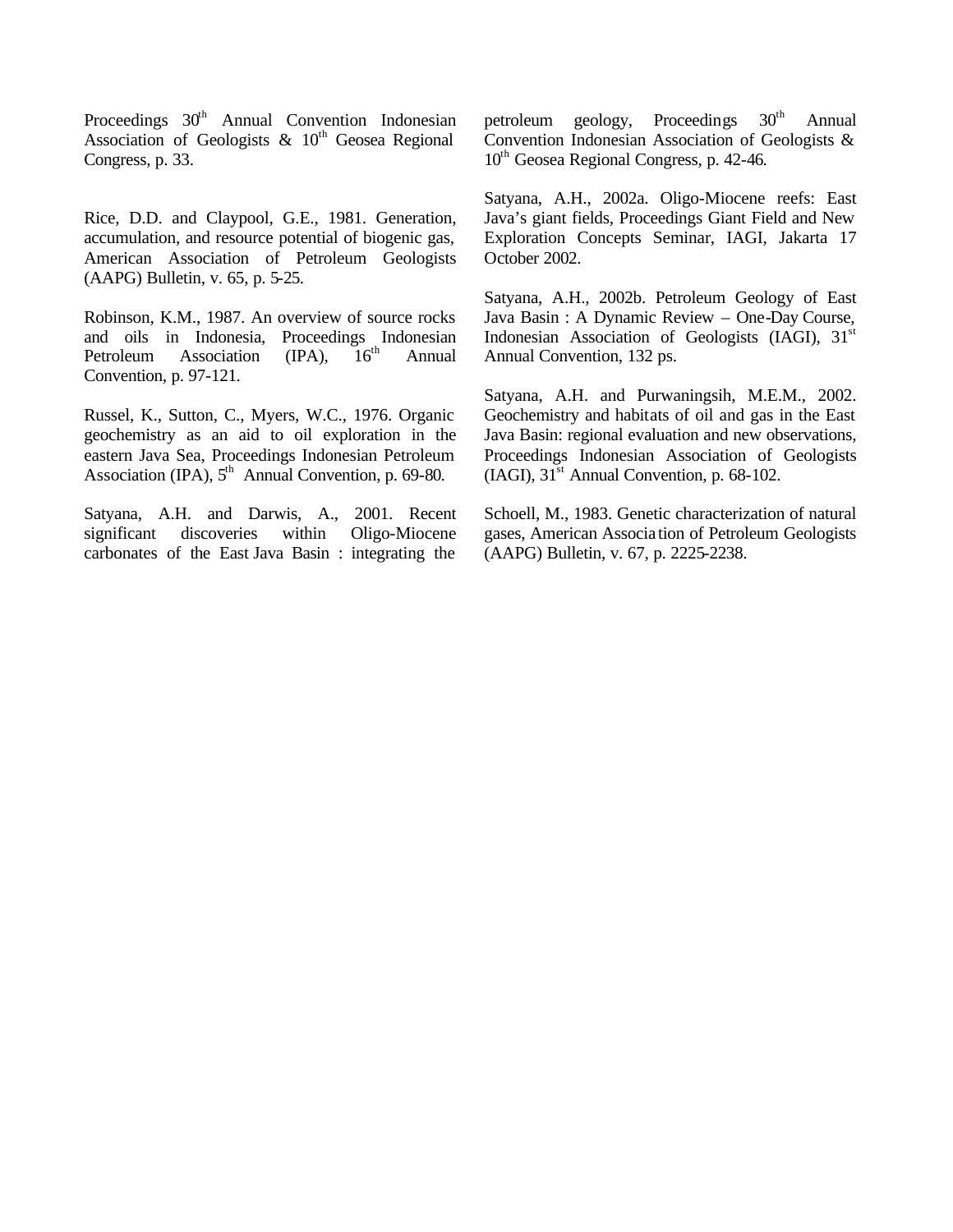Proceedings 30<sup>th</sup> Annual Convention Indonesian Association of Geologists  $\&$  10<sup>th</sup> Geosea Regional Congress, p. 33.

Rice, D.D. and Claypool, G.E., 1981. Generation, accumulation, and resource potential of biogenic gas, American Association of Petroleum Geologists (AAPG) Bulletin, v. 65, p. 5-25.

Robinson, K.M., 1987. An overview of source rocks and oils in Indonesia, Proceedings Indonesian<br>Petroleum Association (IPA), 16<sup>th</sup> Annual Petroleum Association (IPA),  $16<sup>th</sup>$  Annual Convention, p. 97-121.

Russel, K., Sutton, C., Myers, W.C., 1976. Organic geochemistry as an aid to oil exploration in the eastern Java Sea, Proceedings Indonesian Petroleum Association (IPA),  $5<sup>th</sup>$  Annual Convention, p. 69-80.

Satyana, A.H. and Darwis, A., 2001. Recent significant discoveries within Oligo-Miocene carbonates of the East Java Basin : integrating the

petroleum geology, Proceedings 30<sup>th</sup> Annual Convention Indonesian Association of Geologists & 10<sup>th</sup> Geosea Regional Congress, p. 42-46.

Satyana, A.H., 2002a. Oligo-Miocene reefs: East Java's giant fields, Proceedings Giant Field and New Exploration Concepts Seminar, IAGI, Jakarta 17 October 2002.

Satyana, A.H., 2002b. Petroleum Geology of East Java Basin : A Dynamic Review – One-Day Course, Indonesian Association of Geologists (IAGI),  $31<sup>st</sup>$ Annual Convention, 132 ps.

Satyana, A.H. and Purwaningsih, M.E.M., 2002. Geochemistry and habitats of oil and gas in the East Java Basin: regional evaluation and new observations, Proceedings Indonesian Association of Geologists  $(IAGI)$ ,  $31<sup>st</sup>$  Annual Convention, p. 68-102.

Schoell, M., 1983. Genetic characterization of natural gases, American Associa tion of Petroleum Geologists (AAPG) Bulletin, v. 67, p. 2225-2238.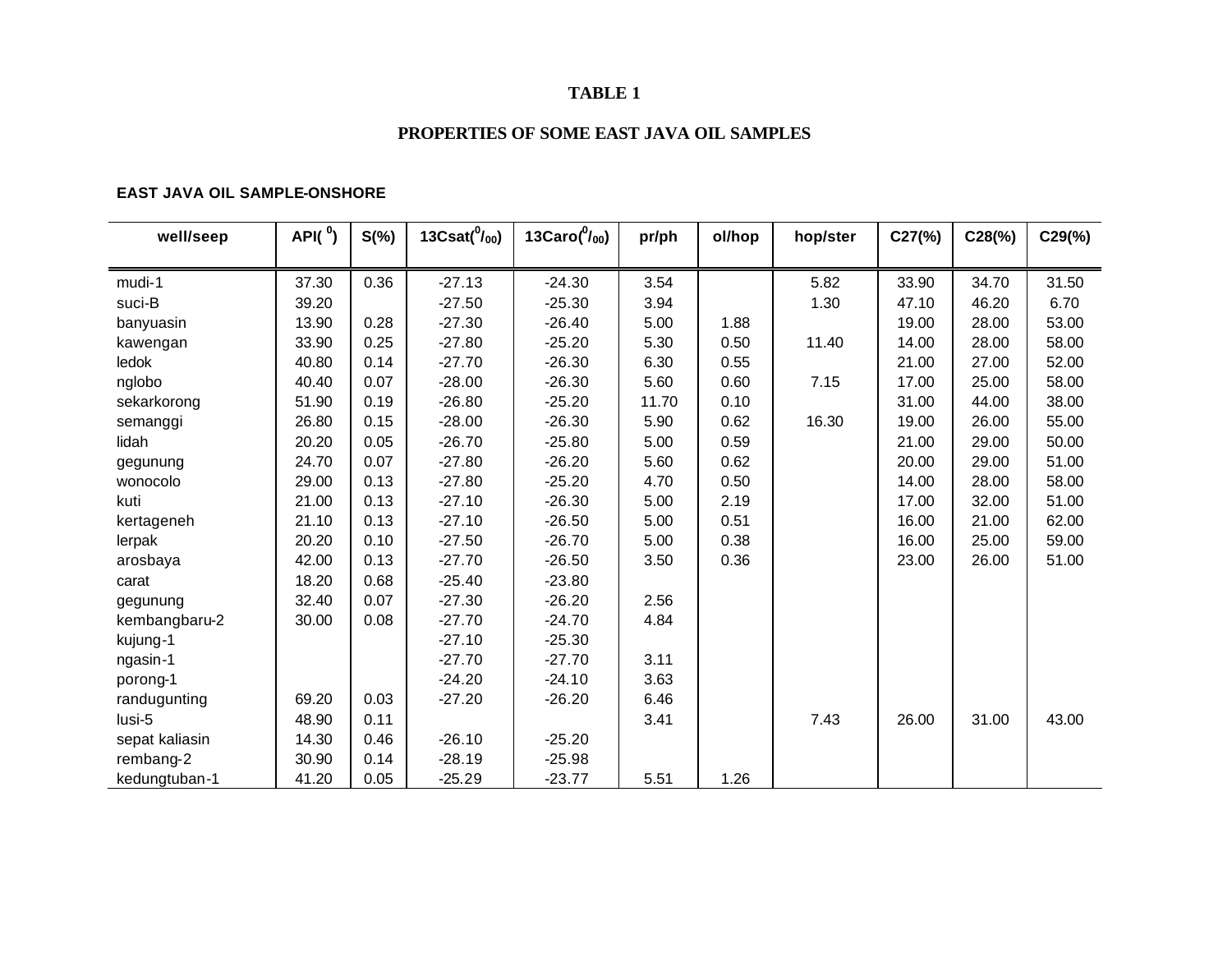## **TABLE 1**

# **PROPERTIES OF SOME EAST JAVA OIL SAMPLES**

## **EAST JAVA OIL SAMPLE-ONSHORE**

| well/seep      | API $(^0)$ | $S(\%)$ | 13Csat $(^{0} /_{00})$ | 13Caro $(^{0} /_{00})$ | pr/ph | ol/hop | hop/ster | $C27$ (%) | $C28(\%)$ | $C29(\%)$ |
|----------------|------------|---------|------------------------|------------------------|-------|--------|----------|-----------|-----------|-----------|
|                |            |         |                        |                        |       |        |          |           |           |           |
| mudi-1         | 37.30      | 0.36    | $-27.13$               | $-24.30$               | 3.54  |        | 5.82     | 33.90     | 34.70     | 31.50     |
| suci-B         | 39.20      |         | $-27.50$               | $-25.30$               | 3.94  |        | 1.30     | 47.10     | 46.20     | 6.70      |
| banyuasin      | 13.90      | 0.28    | $-27.30$               | $-26.40$               | 5.00  | 1.88   |          | 19.00     | 28.00     | 53.00     |
| kawengan       | 33.90      | 0.25    | $-27.80$               | $-25.20$               | 5.30  | 0.50   | 11.40    | 14.00     | 28.00     | 58.00     |
| ledok          | 40.80      | 0.14    | $-27.70$               | $-26.30$               | 6.30  | 0.55   |          | 21.00     | 27.00     | 52.00     |
| nglobo         | 40.40      | 0.07    | $-28.00$               | $-26.30$               | 5.60  | 0.60   | 7.15     | 17.00     | 25.00     | 58.00     |
| sekarkorong    | 51.90      | 0.19    | $-26.80$               | $-25.20$               | 11.70 | 0.10   |          | 31.00     | 44.00     | 38.00     |
| semanggi       | 26.80      | 0.15    | $-28.00$               | $-26.30$               | 5.90  | 0.62   | 16.30    | 19.00     | 26.00     | 55.00     |
| lidah          | 20.20      | 0.05    | $-26.70$               | $-25.80$               | 5.00  | 0.59   |          | 21.00     | 29.00     | 50.00     |
| gegunung       | 24.70      | 0.07    | $-27.80$               | $-26.20$               | 5.60  | 0.62   |          | 20.00     | 29.00     | 51.00     |
| wonocolo       | 29.00      | 0.13    | $-27.80$               | $-25.20$               | 4.70  | 0.50   |          | 14.00     | 28.00     | 58.00     |
| kuti           | 21.00      | 0.13    | $-27.10$               | $-26.30$               | 5.00  | 2.19   |          | 17.00     | 32.00     | 51.00     |
| kertageneh     | 21.10      | 0.13    | $-27.10$               | $-26.50$               | 5.00  | 0.51   |          | 16.00     | 21.00     | 62.00     |
| lerpak         | 20.20      | 0.10    | $-27.50$               | $-26.70$               | 5.00  | 0.38   |          | 16.00     | 25.00     | 59.00     |
| arosbaya       | 42.00      | 0.13    | $-27.70$               | $-26.50$               | 3.50  | 0.36   |          | 23.00     | 26.00     | 51.00     |
| carat          | 18.20      | 0.68    | $-25.40$               | $-23.80$               |       |        |          |           |           |           |
| gegunung       | 32.40      | 0.07    | $-27.30$               | $-26.20$               | 2.56  |        |          |           |           |           |
| kembangbaru-2  | 30.00      | 0.08    | $-27.70$               | $-24.70$               | 4.84  |        |          |           |           |           |
| kujung-1       |            |         | $-27.10$               | $-25.30$               |       |        |          |           |           |           |
| ngasin-1       |            |         | $-27.70$               | $-27.70$               | 3.11  |        |          |           |           |           |
| porong-1       |            |         | $-24.20$               | $-24.10$               | 3.63  |        |          |           |           |           |
| randugunting   | 69.20      | 0.03    | $-27.20$               | $-26.20$               | 6.46  |        |          |           |           |           |
| lusi-5         | 48.90      | 0.11    |                        |                        | 3.41  |        | 7.43     | 26.00     | 31.00     | 43.00     |
| sepat kaliasin | 14.30      | 0.46    | $-26.10$               | $-25.20$               |       |        |          |           |           |           |
| rembang-2      | 30.90      | 0.14    | $-28.19$               | $-25.98$               |       |        |          |           |           |           |
| kedungtuban-1  | 41.20      | 0.05    | $-25.29$               | $-23.77$               | 5.51  | 1.26   |          |           |           |           |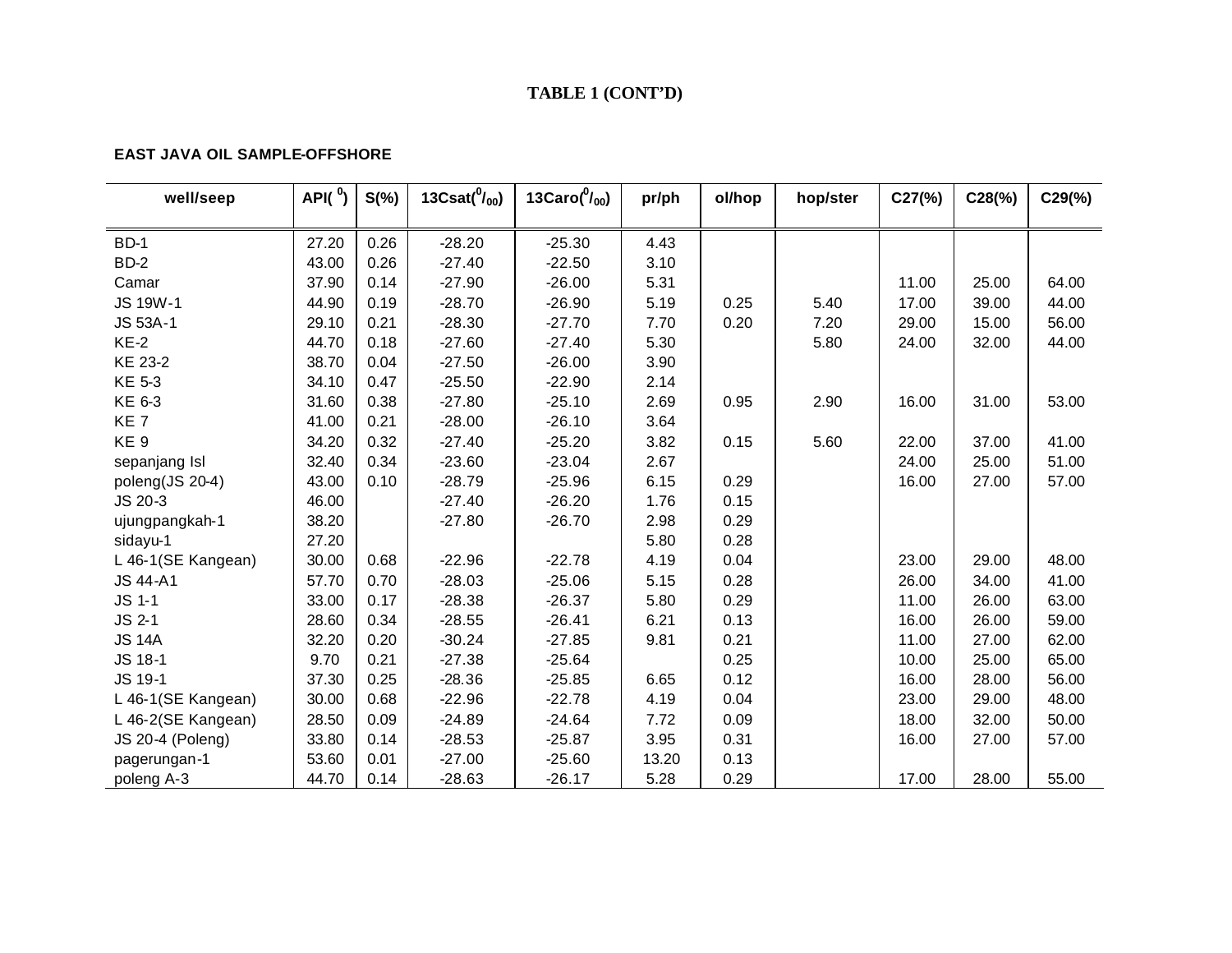# **TABLE 1 (CONT'D)**

### **EAST JAVA OIL SAMPLE-OFFSHORE**

| well/seep          | API $(^0)$ | $S(\%)$ | 13Csat $(^{0}/_{00})$ | 13Caro $(^0/_{00})$ | pr/ph | ol/hop | hop/ster | C27(%) | $C28(\%)$ | $C29(\%)$ |
|--------------------|------------|---------|-----------------------|---------------------|-------|--------|----------|--------|-----------|-----------|
|                    |            |         |                       |                     |       |        |          |        |           |           |
| <b>BD-1</b>        | 27.20      | 0.26    | $-28.20$              | $-25.30$            | 4.43  |        |          |        |           |           |
| BD-2               | 43.00      | 0.26    | $-27.40$              | $-22.50$            | 3.10  |        |          |        |           |           |
| Camar              | 37.90      | 0.14    | $-27.90$              | $-26.00$            | 5.31  |        |          | 11.00  | 25.00     | 64.00     |
| <b>JS 19W-1</b>    | 44.90      | 0.19    | $-28.70$              | $-26.90$            | 5.19  | 0.25   | 5.40     | 17.00  | 39.00     | 44.00     |
| JS 53A-1           | 29.10      | 0.21    | $-28.30$              | $-27.70$            | 7.70  | 0.20   | 7.20     | 29.00  | 15.00     | 56.00     |
| $KE-2$             | 44.70      | 0.18    | $-27.60$              | $-27.40$            | 5.30  |        | 5.80     | 24.00  | 32.00     | 44.00     |
| KE 23-2            | 38.70      | 0.04    | $-27.50$              | $-26.00$            | 3.90  |        |          |        |           |           |
| <b>KE 5-3</b>      | 34.10      | 0.47    | $-25.50$              | $-22.90$            | 2.14  |        |          |        |           |           |
| KE 6-3             | 31.60      | 0.38    | $-27.80$              | $-25.10$            | 2.69  | 0.95   | 2.90     | 16.00  | 31.00     | 53.00     |
| KE <sub>7</sub>    | 41.00      | 0.21    | $-28.00$              | $-26.10$            | 3.64  |        |          |        |           |           |
| KE <sub>9</sub>    | 34.20      | 0.32    | $-27.40$              | $-25.20$            | 3.82  | 0.15   | 5.60     | 22.00  | 37.00     | 41.00     |
| sepanjang Isl      | 32.40      | 0.34    | $-23.60$              | $-23.04$            | 2.67  |        |          | 24.00  | 25.00     | 51.00     |
| poleng(JS 20-4)    | 43.00      | 0.10    | $-28.79$              | $-25.96$            | 6.15  | 0.29   |          | 16.00  | 27.00     | 57.00     |
| JS 20-3            | 46.00      |         | $-27.40$              | $-26.20$            | 1.76  | 0.15   |          |        |           |           |
| ujungpangkah-1     | 38.20      |         | $-27.80$              | $-26.70$            | 2.98  | 0.29   |          |        |           |           |
| sidayu-1           | 27.20      |         |                       |                     | 5.80  | 0.28   |          |        |           |           |
| L 46-1(SE Kangean) | 30.00      | 0.68    | $-22.96$              | $-22.78$            | 4.19  | 0.04   |          | 23.00  | 29.00     | 48.00     |
| <b>JS 44-A1</b>    | 57.70      | 0.70    | $-28.03$              | $-25.06$            | 5.15  | 0.28   |          | 26.00  | 34.00     | 41.00     |
| <b>JS 1-1</b>      | 33.00      | 0.17    | $-28.38$              | $-26.37$            | 5.80  | 0.29   |          | 11.00  | 26.00     | 63.00     |
| JS 2-1             | 28.60      | 0.34    | $-28.55$              | $-26.41$            | 6.21  | 0.13   |          | 16.00  | 26.00     | 59.00     |
| <b>JS 14A</b>      | 32.20      | 0.20    | $-30.24$              | $-27.85$            | 9.81  | 0.21   |          | 11.00  | 27.00     | 62.00     |
| JS 18-1            | 9.70       | 0.21    | $-27.38$              | $-25.64$            |       | 0.25   |          | 10.00  | 25.00     | 65.00     |
| JS 19-1            | 37.30      | 0.25    | $-28.36$              | $-25.85$            | 6.65  | 0.12   |          | 16.00  | 28.00     | 56.00     |
| L 46-1(SE Kangean) | 30.00      | 0.68    | $-22.96$              | $-22.78$            | 4.19  | 0.04   |          | 23.00  | 29.00     | 48.00     |
| L 46-2(SE Kangean) | 28.50      | 0.09    | $-24.89$              | $-24.64$            | 7.72  | 0.09   |          | 18.00  | 32.00     | 50.00     |
| JS 20-4 (Poleng)   | 33.80      | 0.14    | $-28.53$              | $-25.87$            | 3.95  | 0.31   |          | 16.00  | 27.00     | 57.00     |
| pagerungan-1       | 53.60      | 0.01    | $-27.00$              | $-25.60$            | 13.20 | 0.13   |          |        |           |           |
| poleng A-3         | 44.70      | 0.14    | $-28.63$              | $-26.17$            | 5.28  | 0.29   |          | 17.00  | 28.00     | 55.00     |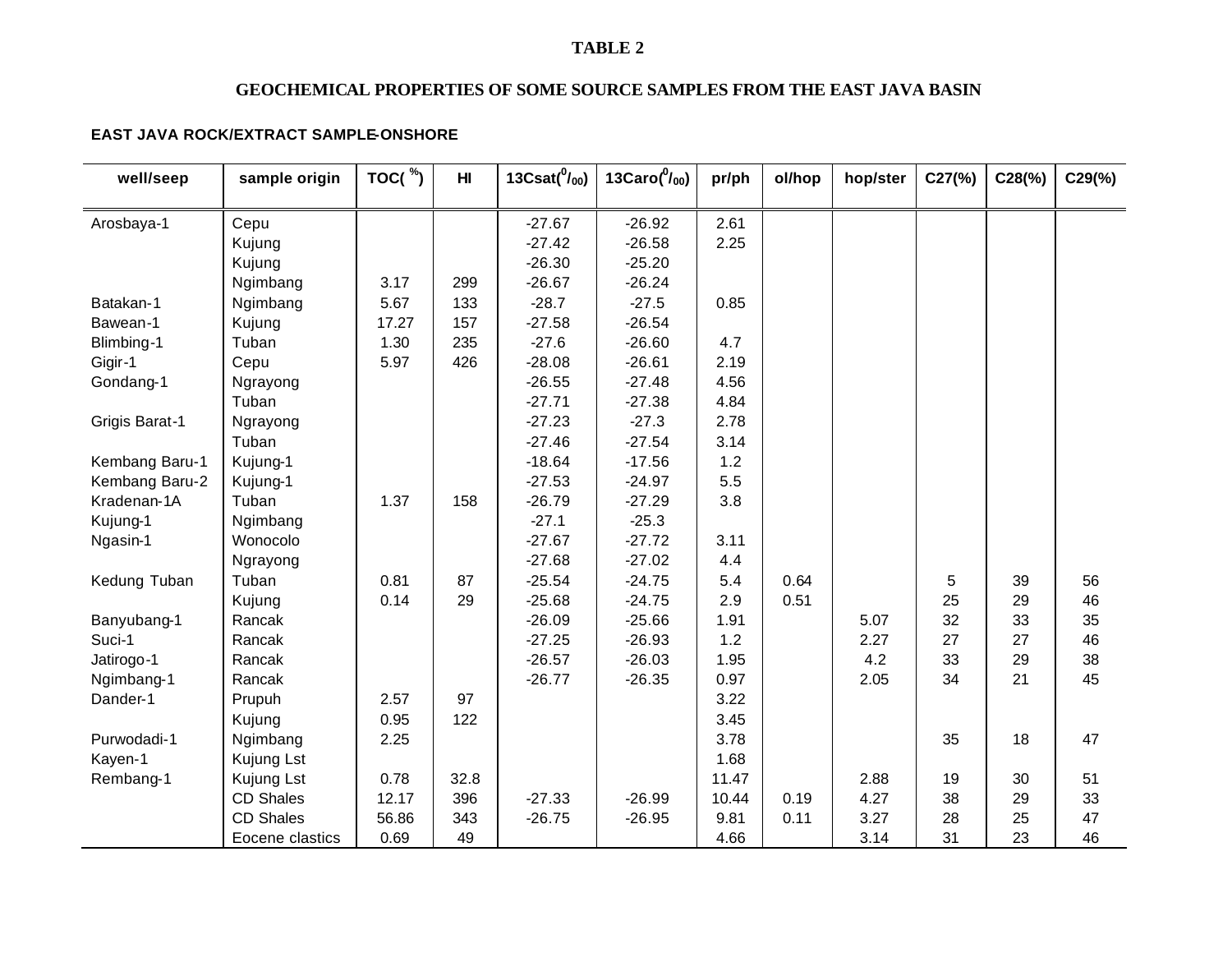## **TABLE 2**

# **GEOCHEMICAL PROPERTIES OF SOME SOURCE SAMPLES FROM THE EAST JAVA BASIN**

## **EAST JAVA ROCK/EXTRACT SAMPLE-ONSHORE**

| well/seep             | sample origin    | TOC( $\degree$ ) | H <sub>l</sub> | 13Csat $(^{0}/_{00})$ | 13Caro $(^{0} /_{00})$ | pr/ph | ol/hop | hop/ster | C27(%) | $C28$ (%) | $C29(\%)$ |
|-----------------------|------------------|------------------|----------------|-----------------------|------------------------|-------|--------|----------|--------|-----------|-----------|
|                       |                  |                  |                |                       |                        |       |        |          |        |           |           |
| Arosbaya-1            | Cepu             |                  |                | $-27.67$              | $-26.92$               | 2.61  |        |          |        |           |           |
|                       | Kujung           |                  |                | $-27.42$              | $-26.58$               | 2.25  |        |          |        |           |           |
|                       | Kujung           |                  |                | $-26.30$              | $-25.20$               |       |        |          |        |           |           |
|                       | Ngimbang         | 3.17             | 299            | $-26.67$              | $-26.24$               |       |        |          |        |           |           |
| Batakan-1             | Ngimbang         | 5.67             | 133            | $-28.7$               | $-27.5$                | 0.85  |        |          |        |           |           |
| Bawean-1              | Kujung           | 17.27            | 157            | $-27.58$              | $-26.54$               |       |        |          |        |           |           |
| Blimbing-1            | Tuban            | 1.30             | 235            | $-27.6$               | $-26.60$               | 4.7   |        |          |        |           |           |
| Gigir-1               | Cepu             | 5.97             | 426            | $-28.08$              | $-26.61$               | 2.19  |        |          |        |           |           |
| Gondang-1             | Ngrayong         |                  |                | $-26.55$              | $-27.48$               | 4.56  |        |          |        |           |           |
|                       | Tuban            |                  |                | $-27.71$              | $-27.38$               | 4.84  |        |          |        |           |           |
| <b>Grigis Barat-1</b> | Ngrayong         |                  |                | $-27.23$              | $-27.3$                | 2.78  |        |          |        |           |           |
|                       | Tuban            |                  |                | $-27.46$              | $-27.54$               | 3.14  |        |          |        |           |           |
| Kembang Baru-1        | Kujung-1         |                  |                | $-18.64$              | $-17.56$               | 1.2   |        |          |        |           |           |
| Kembang Baru-2        | Kujung-1         |                  |                | $-27.53$              | $-24.97$               | 5.5   |        |          |        |           |           |
| Kradenan-1A           | Tuban            | 1.37             | 158            | $-26.79$              | $-27.29$               | 3.8   |        |          |        |           |           |
| Kujung-1              | Ngimbang         |                  |                | $-27.1$               | $-25.3$                |       |        |          |        |           |           |
| Ngasin-1              | Wonocolo         |                  |                | $-27.67$              | $-27.72$               | 3.11  |        |          |        |           |           |
|                       | Ngrayong         |                  |                | $-27.68$              | $-27.02$               | 4.4   |        |          |        |           |           |
| Kedung Tuban          | Tuban            | 0.81             | 87             | $-25.54$              | $-24.75$               | 5.4   | 0.64   |          | 5      | 39        | 56        |
|                       | Kujung           | 0.14             | 29             | $-25.68$              | $-24.75$               | 2.9   | 0.51   |          | 25     | 29        | 46        |
| Banyubang-1           | Rancak           |                  |                | $-26.09$              | $-25.66$               | 1.91  |        | 5.07     | 32     | 33        | 35        |
| Suci-1                | Rancak           |                  |                | $-27.25$              | $-26.93$               | 1.2   |        | 2.27     | 27     | 27        | 46        |
| Jatirogo-1            | Rancak           |                  |                | $-26.57$              | $-26.03$               | 1.95  |        | 4.2      | 33     | 29        | 38        |
| Ngimbang-1            | Rancak           |                  |                | $-26.77$              | $-26.35$               | 0.97  |        | 2.05     | 34     | 21        | 45        |
| Dander-1              | Prupuh           | 2.57             | 97             |                       |                        | 3.22  |        |          |        |           |           |
|                       | Kujung           | 0.95             | 122            |                       |                        | 3.45  |        |          |        |           |           |
| Purwodadi-1           | Ngimbang         | 2.25             |                |                       |                        | 3.78  |        |          | 35     | 18        | 47        |
| Kayen-1               | Kujung Lst       |                  |                |                       |                        | 1.68  |        |          |        |           |           |
| Rembang-1             | Kujung Lst       | 0.78             | 32.8           |                       |                        | 11.47 |        | 2.88     | 19     | 30        | 51        |
|                       | <b>CD Shales</b> | 12.17            | 396            | $-27.33$              | $-26.99$               | 10.44 | 0.19   | 4.27     | 38     | 29        | 33        |
|                       | <b>CD Shales</b> | 56.86            | 343            | $-26.75$              | $-26.95$               | 9.81  | 0.11   | 3.27     | 28     | 25        | 47        |
|                       | Eocene clastics  | 0.69             | 49             |                       |                        | 4.66  |        | 3.14     | 31     | 23        | 46        |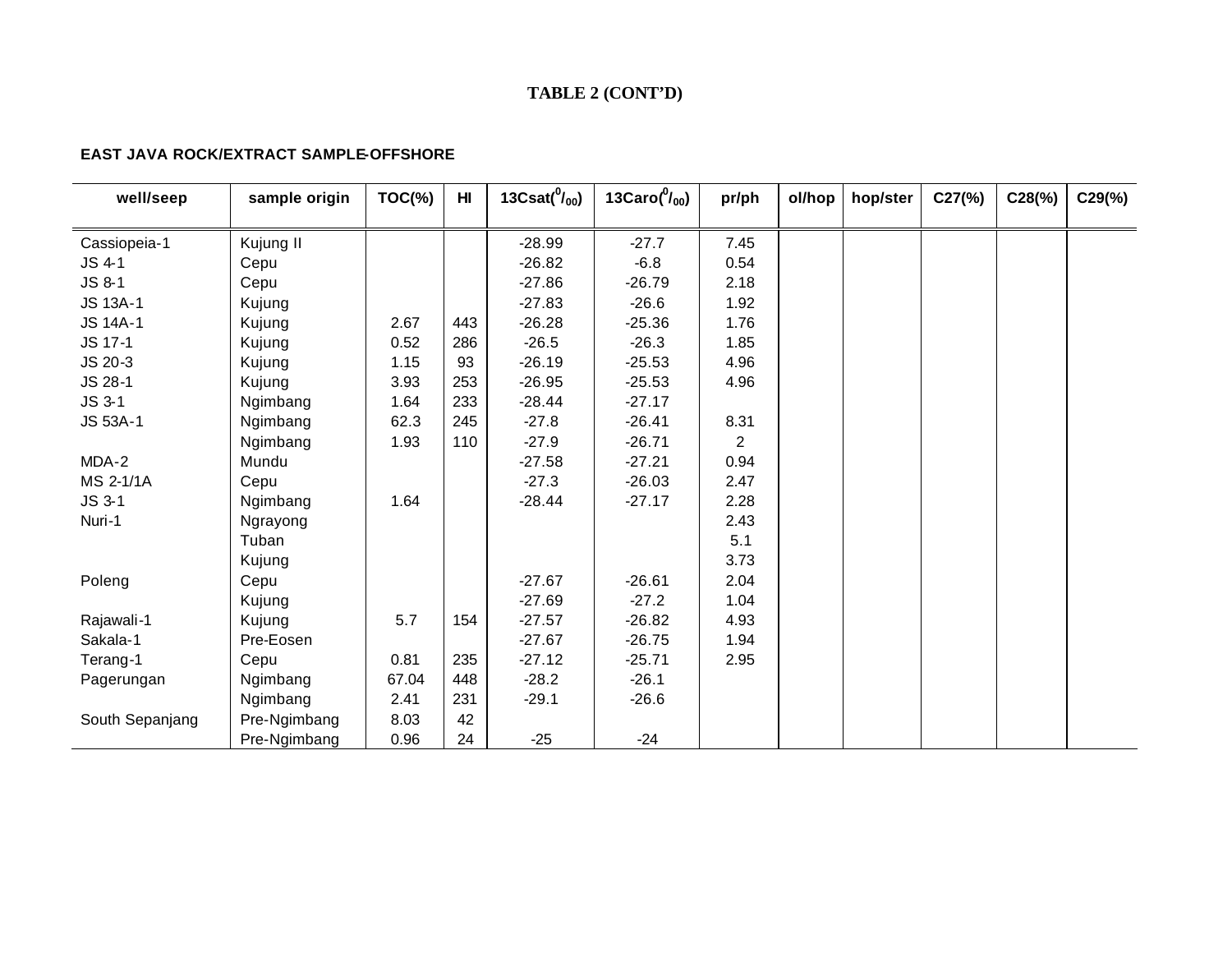# **TABLE 2 (CONT'D)**

### **EAST JAVA ROCK/EXTRACT SAMPLE-OFFSHORE**

| well/seep       | sample origin | $TOC(\%)$ | H <sub>II</sub> | 13Csat $(^0/_{00})$ | 13Caro $(^0/_{00})$ | pr/ph | ol/hop | hop/ster | $C27$ (%) | $C28(\%)$ | $C29(\%)$ |
|-----------------|---------------|-----------|-----------------|---------------------|---------------------|-------|--------|----------|-----------|-----------|-----------|
|                 |               |           |                 |                     |                     |       |        |          |           |           |           |
| Cassiopeia-1    | Kujung II     |           |                 | $-28.99$            | $-27.7$             | 7.45  |        |          |           |           |           |
| JS 4-1          | Cepu          |           |                 | $-26.82$            | $-6.8$              | 0.54  |        |          |           |           |           |
| JS 8-1          | Cepu          |           |                 | $-27.86$            | $-26.79$            | 2.18  |        |          |           |           |           |
| <b>JS 13A-1</b> | Kujung        |           |                 | $-27.83$            | $-26.6$             | 1.92  |        |          |           |           |           |
| <b>JS 14A-1</b> | Kujung        | 2.67      | 443             | $-26.28$            | $-25.36$            | 1.76  |        |          |           |           |           |
| JS 17-1         | Kujung        | 0.52      | 286             | $-26.5$             | $-26.3$             | 1.85  |        |          |           |           |           |
| JS 20-3         | Kujung        | 1.15      | 93              | $-26.19$            | $-25.53$            | 4.96  |        |          |           |           |           |
| JS 28-1         | Kujung        | 3.93      | 253             | $-26.95$            | $-25.53$            | 4.96  |        |          |           |           |           |
| JS 3-1          | Ngimbang      | 1.64      | 233             | $-28.44$            | $-27.17$            |       |        |          |           |           |           |
| JS 53A-1        | Ngimbang      | 62.3      | 245             | $-27.8$             | $-26.41$            | 8.31  |        |          |           |           |           |
|                 | Ngimbang      | 1.93      | 110             | $-27.9$             | $-26.71$            | 2     |        |          |           |           |           |
| MDA-2           | Mundu         |           |                 | $-27.58$            | $-27.21$            | 0.94  |        |          |           |           |           |
| MS 2-1/1A       | Cepu          |           |                 | $-27.3$             | $-26.03$            | 2.47  |        |          |           |           |           |
| JS 3-1          | Ngimbang      | 1.64      |                 | $-28.44$            | $-27.17$            | 2.28  |        |          |           |           |           |
| Nuri-1          | Ngrayong      |           |                 |                     |                     | 2.43  |        |          |           |           |           |
|                 | Tuban         |           |                 |                     |                     | 5.1   |        |          |           |           |           |
|                 | Kujung        |           |                 |                     |                     | 3.73  |        |          |           |           |           |
| Poleng          | Cepu          |           |                 | $-27.67$            | $-26.61$            | 2.04  |        |          |           |           |           |
|                 | Kujung        |           |                 | $-27.69$            | $-27.2$             | 1.04  |        |          |           |           |           |
| Rajawali-1      | Kujung        | 5.7       | 154             | $-27.57$            | $-26.82$            | 4.93  |        |          |           |           |           |
| Sakala-1        | Pre-Eosen     |           |                 | $-27.67$            | $-26.75$            | 1.94  |        |          |           |           |           |
| Terang-1        | Cepu          | 0.81      | 235             | $-27.12$            | $-25.71$            | 2.95  |        |          |           |           |           |
| Pagerungan      | Ngimbang      | 67.04     | 448             | $-28.2$             | $-26.1$             |       |        |          |           |           |           |
|                 | Ngimbang      | 2.41      | 231             | $-29.1$             | $-26.6$             |       |        |          |           |           |           |
| South Sepanjang | Pre-Ngimbang  | 8.03      | 42              |                     |                     |       |        |          |           |           |           |
|                 | Pre-Ngimbang  | 0.96      | 24              | $-25$               | $-24$               |       |        |          |           |           |           |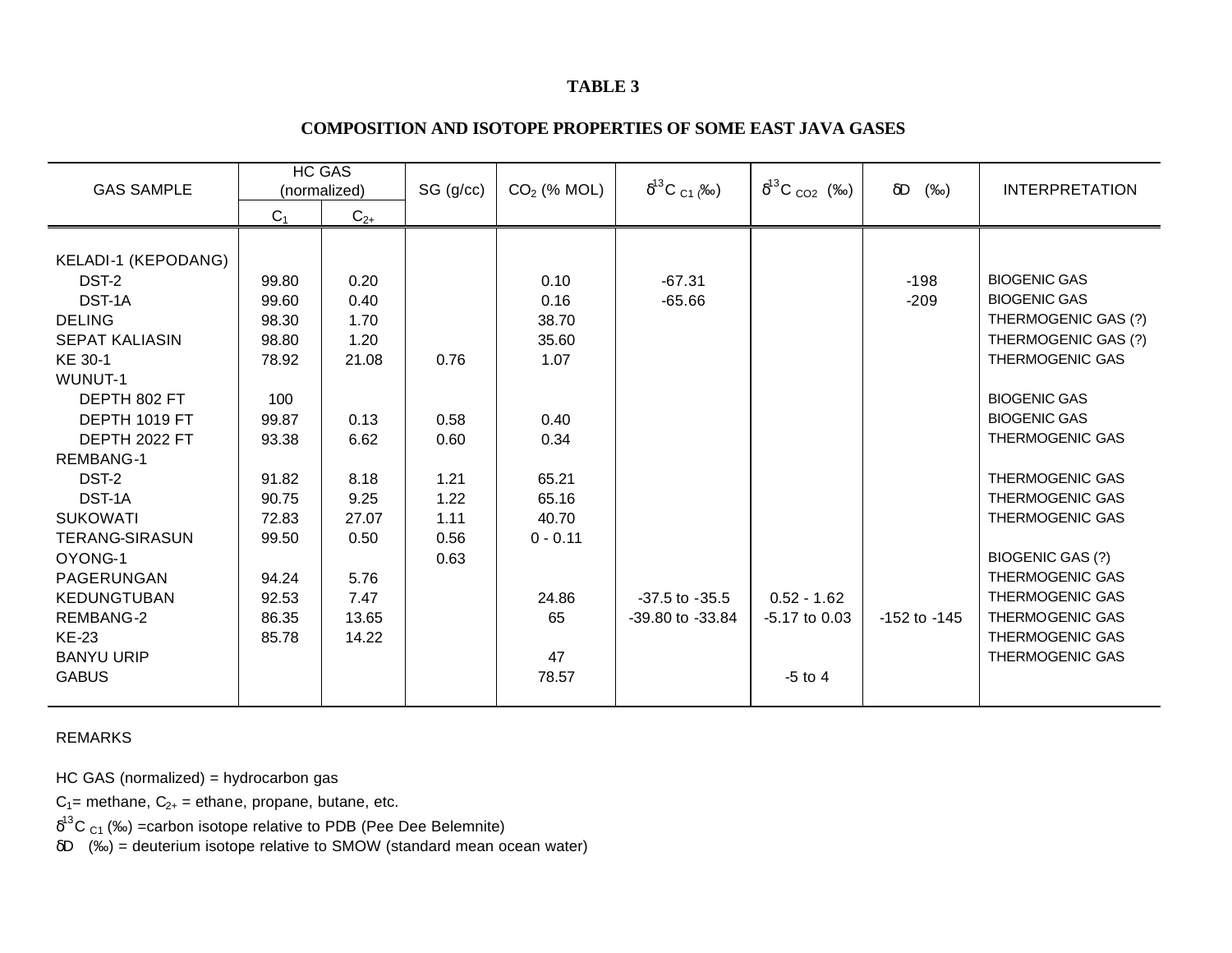# **TABLE 3**

# **COMPOSITION AND ISOTOPE PROPERTIES OF SOME EAST JAVA GASES**

| <b>GAS SAMPLE</b>     | HC GAS<br>(normalized) |          |      |            |                    |                 |                  |                        |  |  | SG (g/cc) | $CO2$ (% MOL) | $\delta^{13}C_{C1}$ (‰) | $\delta^{13}C_{CO2}$ (‰) | $\delta D$<br>(%o) | <b>INTERPRETATION</b> |
|-----------------------|------------------------|----------|------|------------|--------------------|-----------------|------------------|------------------------|--|--|-----------|---------------|-------------------------|--------------------------|--------------------|-----------------------|
|                       | $C_1$                  | $C_{2+}$ |      |            |                    |                 |                  |                        |  |  |           |               |                         |                          |                    |                       |
|                       |                        |          |      |            |                    |                 |                  |                        |  |  |           |               |                         |                          |                    |                       |
| KELADI-1 (KEPODANG)   |                        |          |      |            |                    |                 |                  |                        |  |  |           |               |                         |                          |                    |                       |
| DST-2                 | 99.80                  | 0.20     |      | 0.10       | $-67.31$           |                 | $-198$           | <b>BIOGENIC GAS</b>    |  |  |           |               |                         |                          |                    |                       |
| DST-1A                | 99.60                  | 0.40     |      | 0.16       | $-65.66$           |                 | $-209$           | <b>BIOGENIC GAS</b>    |  |  |           |               |                         |                          |                    |                       |
| <b>DELING</b>         | 98.30                  | 1.70     |      | 38.70      |                    |                 |                  | THERMOGENIC GAS (?)    |  |  |           |               |                         |                          |                    |                       |
| <b>SEPAT KALIASIN</b> | 98.80                  | 1.20     |      | 35.60      |                    |                 |                  | THERMOGENIC GAS (?)    |  |  |           |               |                         |                          |                    |                       |
| KE 30-1               | 78.92                  | 21.08    | 0.76 | 1.07       |                    |                 |                  | <b>THERMOGENIC GAS</b> |  |  |           |               |                         |                          |                    |                       |
| WUNUT-1               |                        |          |      |            |                    |                 |                  |                        |  |  |           |               |                         |                          |                    |                       |
| DEPTH 802 FT          | 100                    |          |      |            |                    |                 |                  | <b>BIOGENIC GAS</b>    |  |  |           |               |                         |                          |                    |                       |
| DEPTH 1019 FT         | 99.87                  | 0.13     | 0.58 | 0.40       |                    |                 |                  | <b>BIOGENIC GAS</b>    |  |  |           |               |                         |                          |                    |                       |
| DEPTH 2022 FT         | 93.38                  | 6.62     | 0.60 | 0.34       |                    |                 |                  | <b>THERMOGENIC GAS</b> |  |  |           |               |                         |                          |                    |                       |
| REMBANG-1             |                        |          |      |            |                    |                 |                  |                        |  |  |           |               |                         |                          |                    |                       |
| DST-2                 | 91.82                  | 8.18     | 1.21 | 65.21      |                    |                 |                  | THERMOGENIC GAS        |  |  |           |               |                         |                          |                    |                       |
| DST-1A                | 90.75                  | 9.25     | 1.22 | 65.16      |                    |                 |                  | <b>THERMOGENIC GAS</b> |  |  |           |               |                         |                          |                    |                       |
| <b>SUKOWATI</b>       | 72.83                  | 27.07    | 1.11 | 40.70      |                    |                 |                  | <b>THERMOGENIC GAS</b> |  |  |           |               |                         |                          |                    |                       |
| <b>TERANG-SIRASUN</b> | 99.50                  | 0.50     | 0.56 | $0 - 0.11$ |                    |                 |                  |                        |  |  |           |               |                         |                          |                    |                       |
| OYONG-1               |                        |          | 0.63 |            |                    |                 |                  | BIOGENIC GAS (?)       |  |  |           |               |                         |                          |                    |                       |
| PAGERUNGAN            | 94.24                  | 5.76     |      |            |                    |                 |                  | THERMOGENIC GAS        |  |  |           |               |                         |                          |                    |                       |
| <b>KEDUNGTUBAN</b>    | 92.53                  | 7.47     |      | 24.86      | $-37.5$ to $-35.5$ | $0.52 - 1.62$   |                  | THERMOGENIC GAS        |  |  |           |               |                         |                          |                    |                       |
| <b>REMBANG-2</b>      | 86.35                  | 13.65    |      | 65         | -39.80 to -33.84   | $-5.17$ to 0.03 | $-152$ to $-145$ | THERMOGENIC GAS        |  |  |           |               |                         |                          |                    |                       |
| <b>KE-23</b>          | 85.78                  | 14.22    |      |            |                    |                 |                  | THERMOGENIC GAS        |  |  |           |               |                         |                          |                    |                       |
| <b>BANYU URIP</b>     |                        |          |      | 47         |                    |                 |                  | THERMOGENIC GAS        |  |  |           |               |                         |                          |                    |                       |
| <b>GABUS</b>          |                        |          |      | 78.57      |                    | $-5$ to 4       |                  |                        |  |  |           |               |                         |                          |                    |                       |
|                       |                        |          |      |            |                    |                 |                  |                        |  |  |           |               |                         |                          |                    |                       |

REMARKS

HC GAS (normalized) = hydrocarbon gas

 $C_1$ = methane,  $C_{2+}$  = ethane, propane, butane, etc.

 $\delta^{13}$ C <sub>C1</sub> (‰) =carbon isotope relative to PDB (Pee Dee Belemnite)

δD (‰) = deuterium isotope relative to SMOW (standard mean ocean water)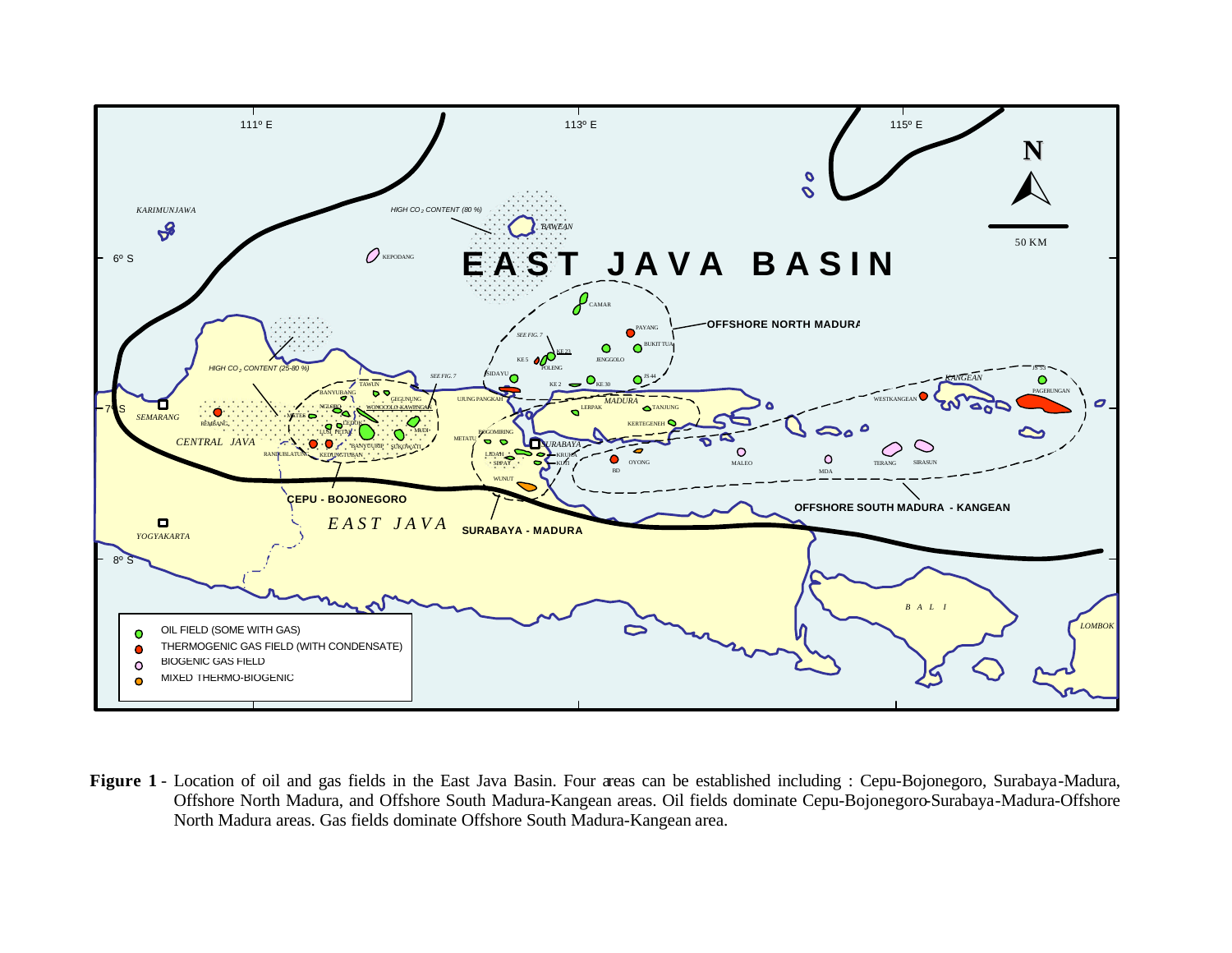

**Figure 1** - Location of oil and gas fields in the East Java Basin. Four areas can be established including : Cepu-Bojonegoro, Surabaya-Madura, Offshore North Madura, and Offshore South Madura-Kangean areas. Oil fields dominate Cepu-Bojonegoro-Surabaya-Madura-Offshore North Madura areas. Gas fields dominate Offshore South Madura-Kangean area.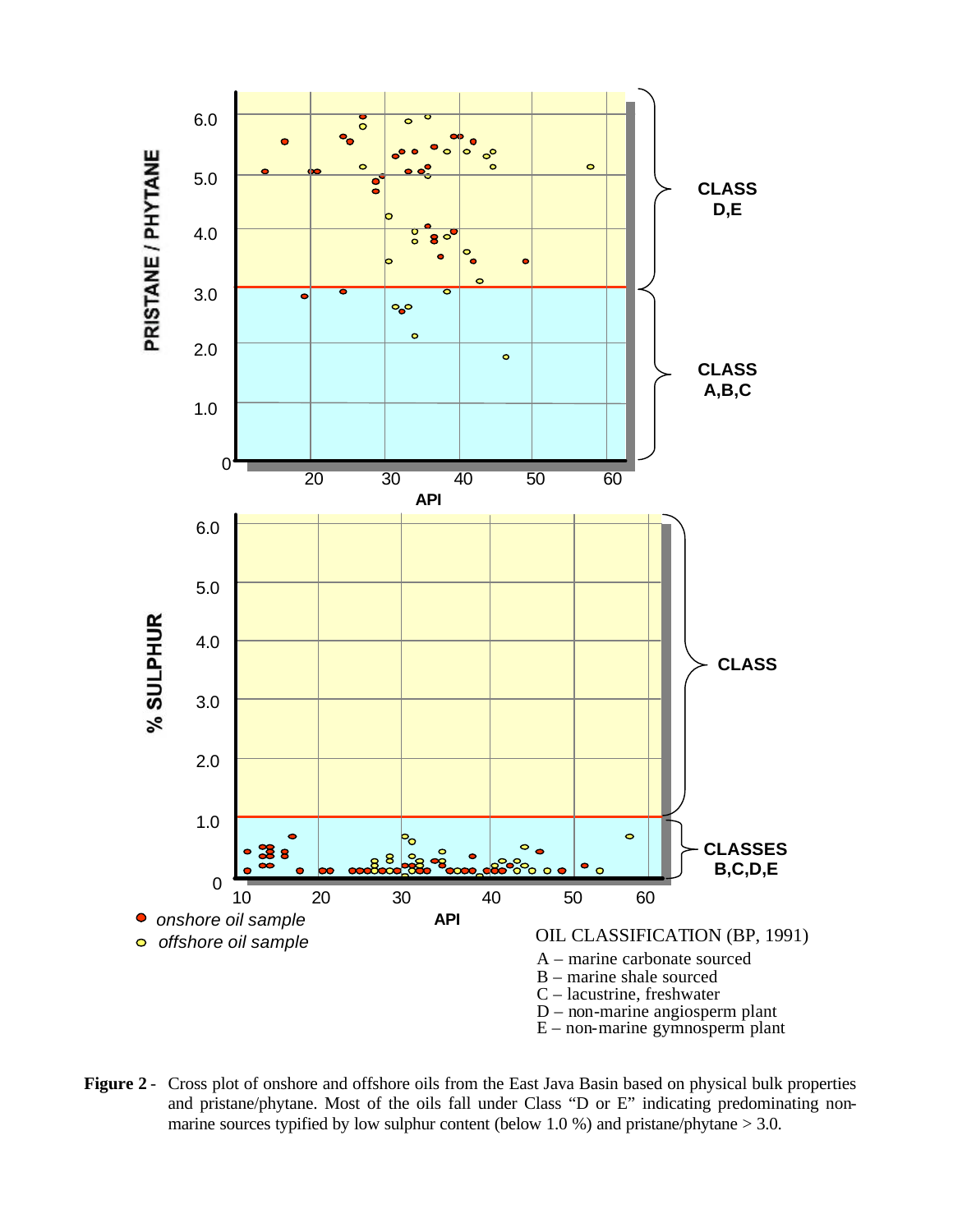

**Figure 2** - Cross plot of onshore and offshore oils from the East Java Basin based on physical bulk properties and pristane/phytane. Most of the oils fall under Class "D or E" indicating predominating nonmarine sources typified by low sulphur content (below 1.0 %) and pristane/phytane  $> 3.0$ .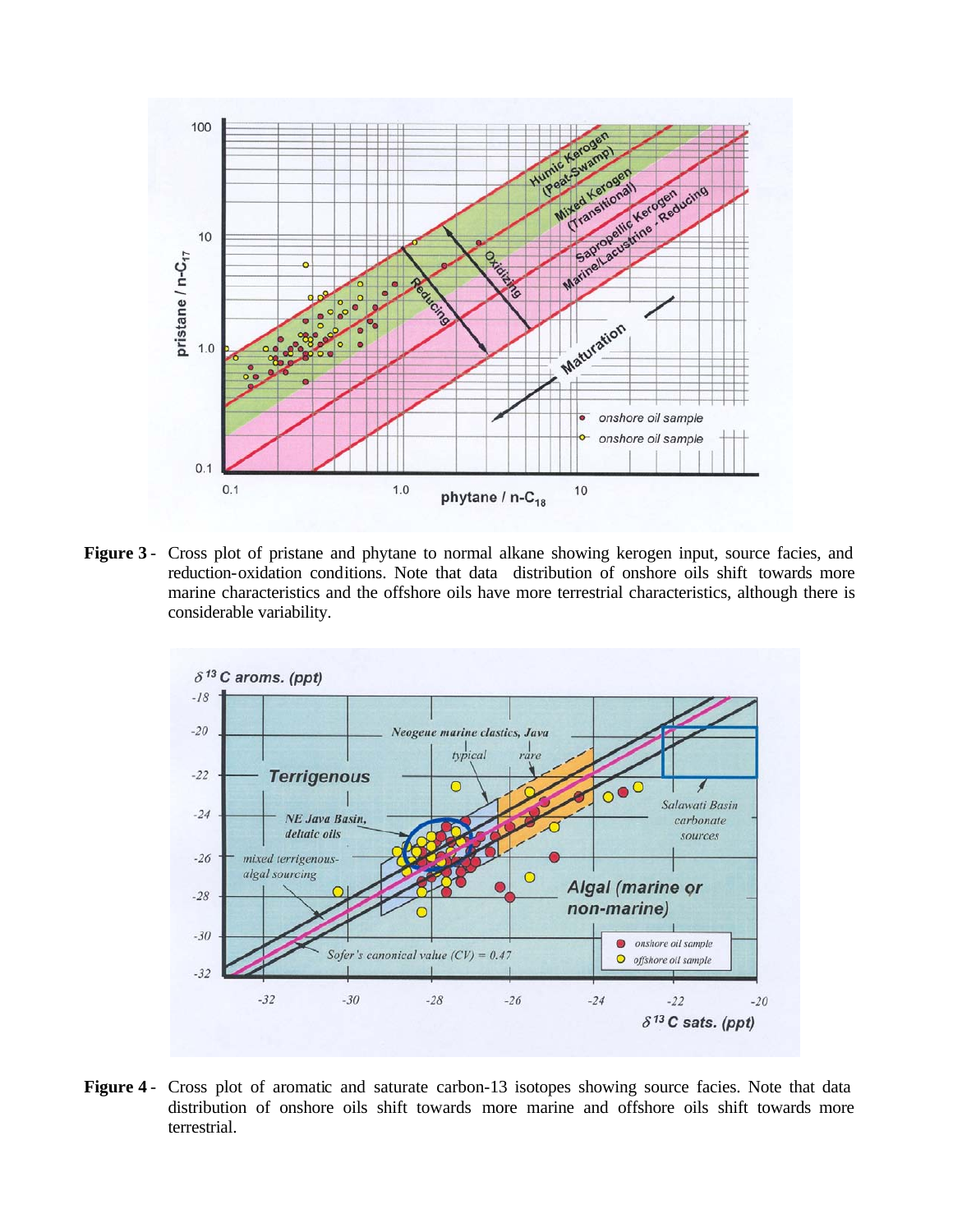

**Figure 3** - Cross plot of pristane and phytane to normal alkane showing kerogen input, source facies, and reduction-oxidation conditions. Note that data distribution of onshore oils shift towards more marine characteristics and the offshore oils have more terrestrial characteristics, although there is considerable variability.



Figure 4 - Cross plot of aromatic and saturate carbon-13 isotopes showing source facies. Note that data distribution of onshore oils shift towards more marine and offshore oils shift towards more terrestrial.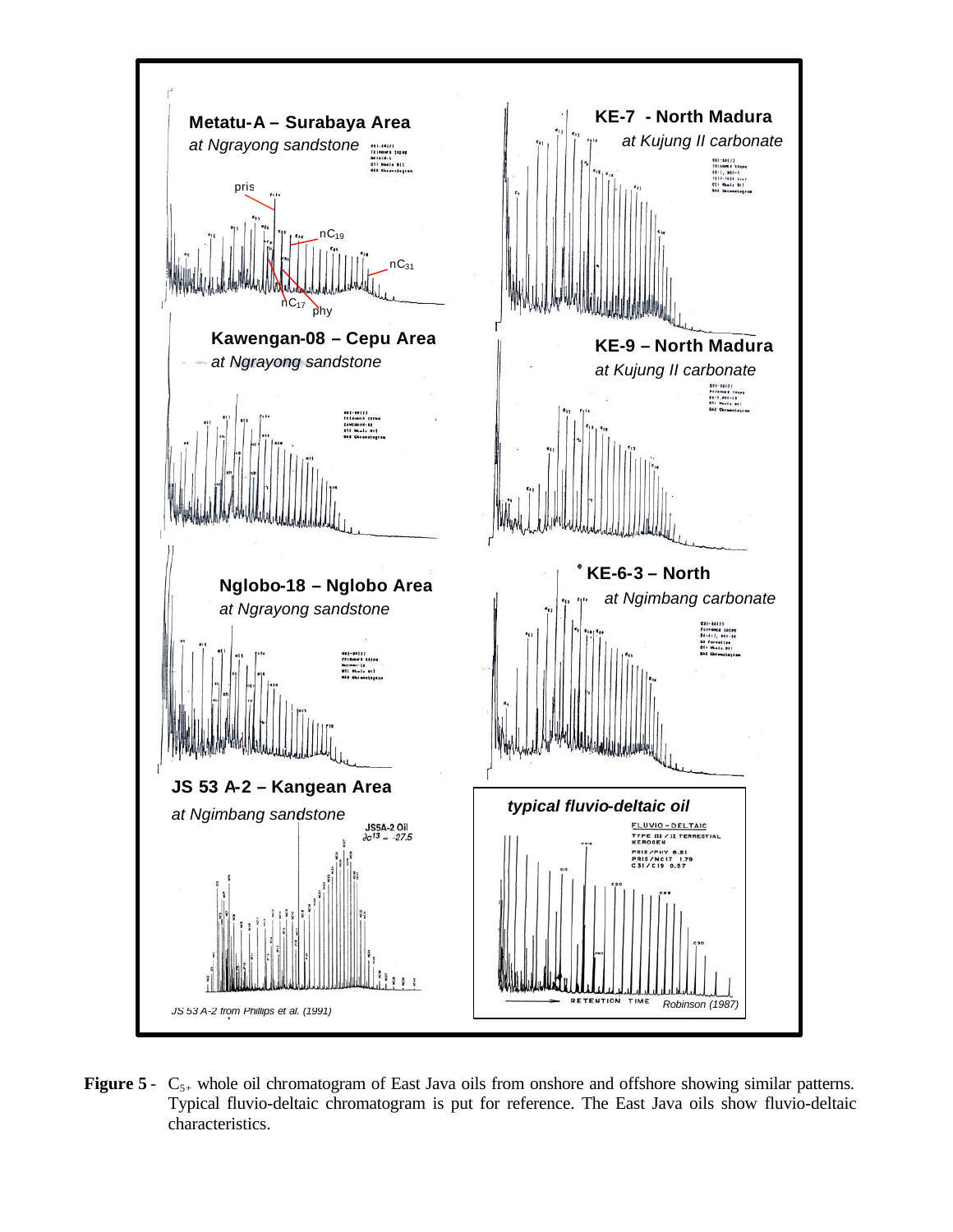

**Figure 5** - C<sub>5+</sub> whole oil chromatogram of East Java oils from onshore and offshore showing similar patterns. Typical fluvio-deltaic chromatogram is put for reference. The East Java oils show fluvio-deltaic characteristics.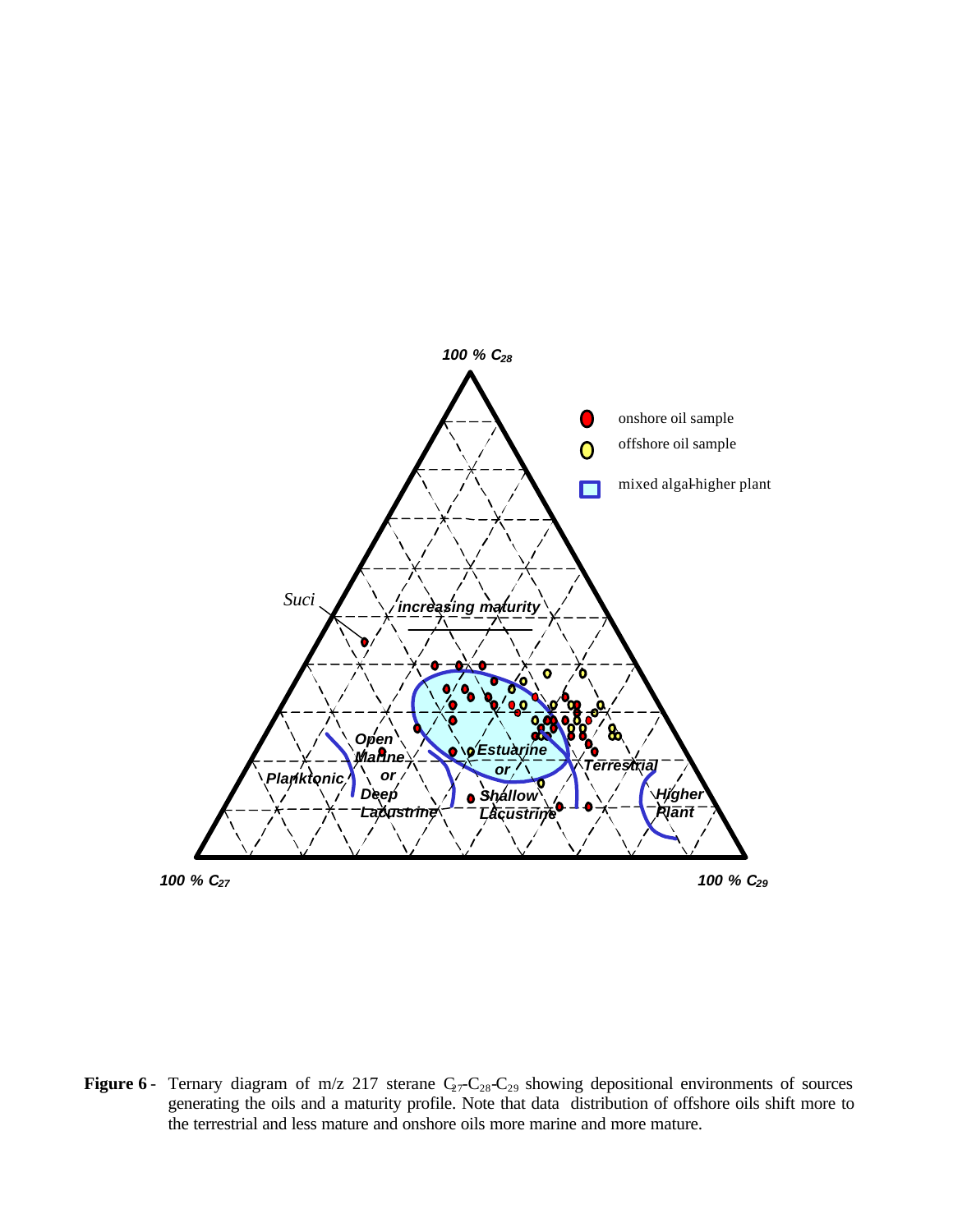

**Figure 6** - Ternary diagram of m/z 217 sterane  $C_2$ - $C_2$ <sub>8</sub>- $C_2$ <sub>9</sub> showing depositional environments of sources generating the oils and a maturity profile. Note that data distribution of offshore oils shift more to the terrestrial and less mature and onshore oils more marine and more mature.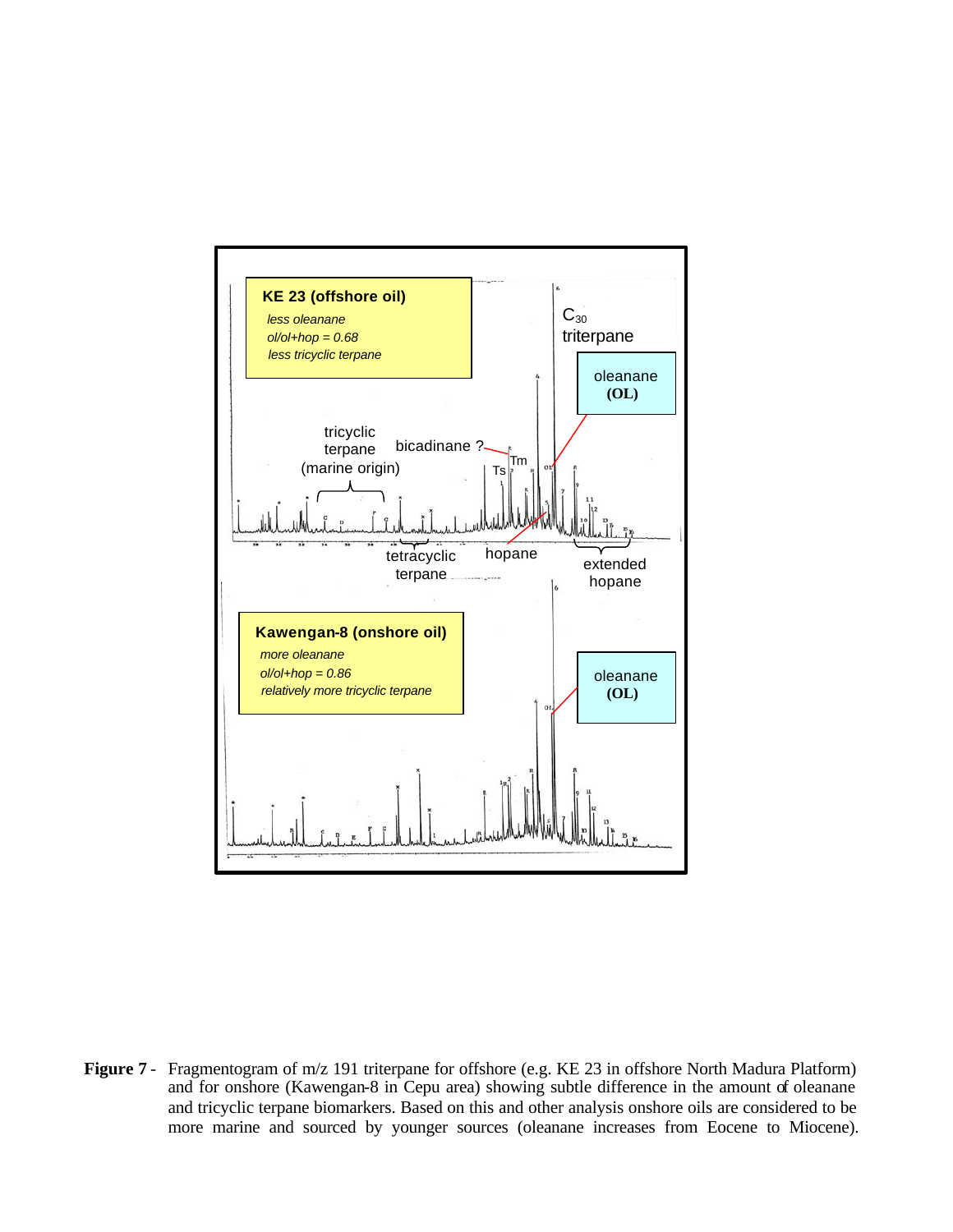

**Figure 7** - Fragmentogram of m/z 191 triterpane for offshore (e.g. KE 23 in offshore North Madura Platform) and for onshore (Kawengan-8 in Cepu area) showing subtle difference in the amount of oleanane and tricyclic terpane biomarkers. Based on this and other analysis onshore oils are considered to be more marine and sourced by younger sources (oleanane increases from Eocene to Miocene).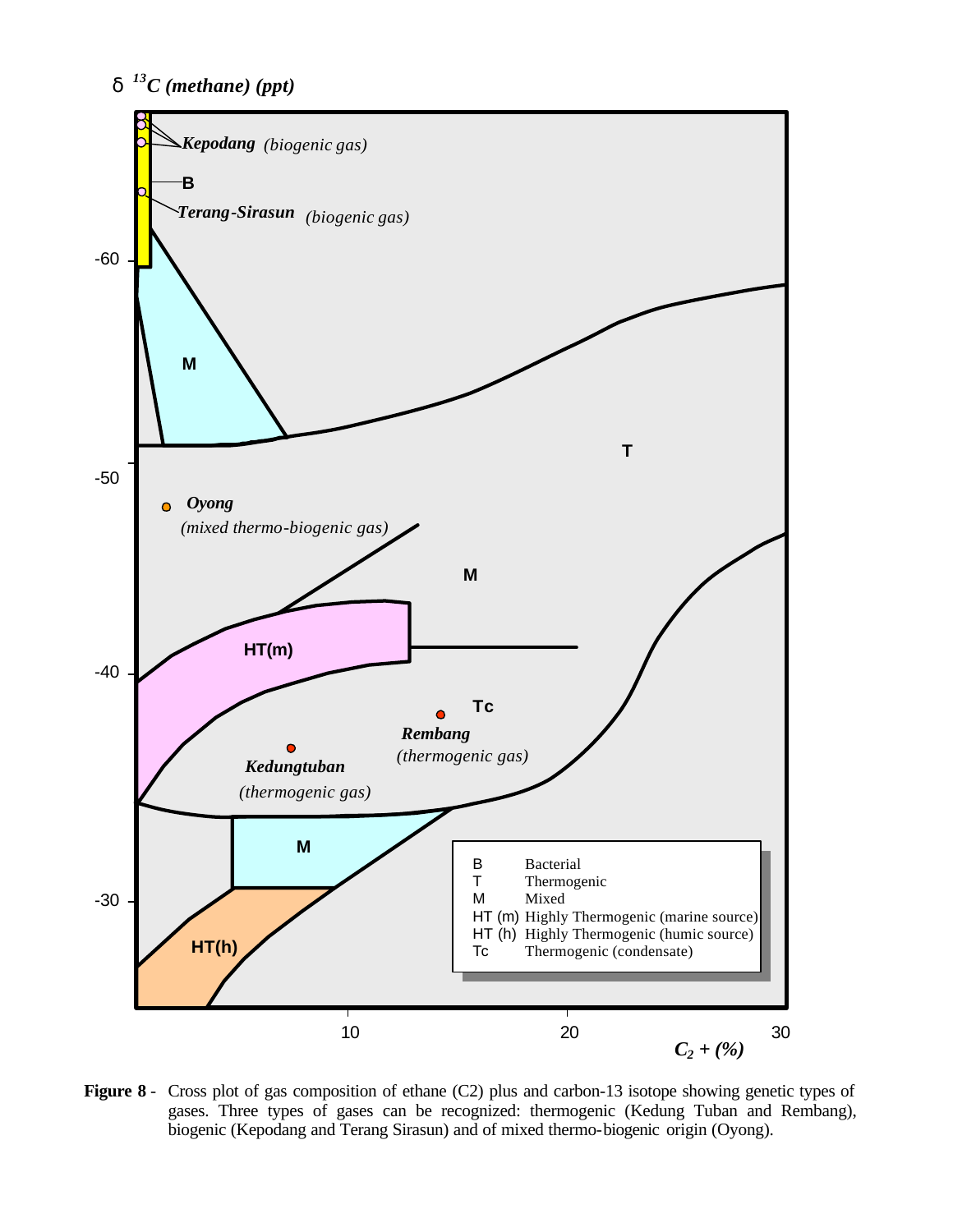



**Figure 8** - Cross plot of gas composition of ethane (C2) plus and carbon-13 isotope showing genetic types of gases. Three types of gases can be recognized: thermogenic (Kedung Tuban and Rembang), biogenic (Kepodang and Terang Sirasun) and of mixed thermo-biogenic origin (Oyong).